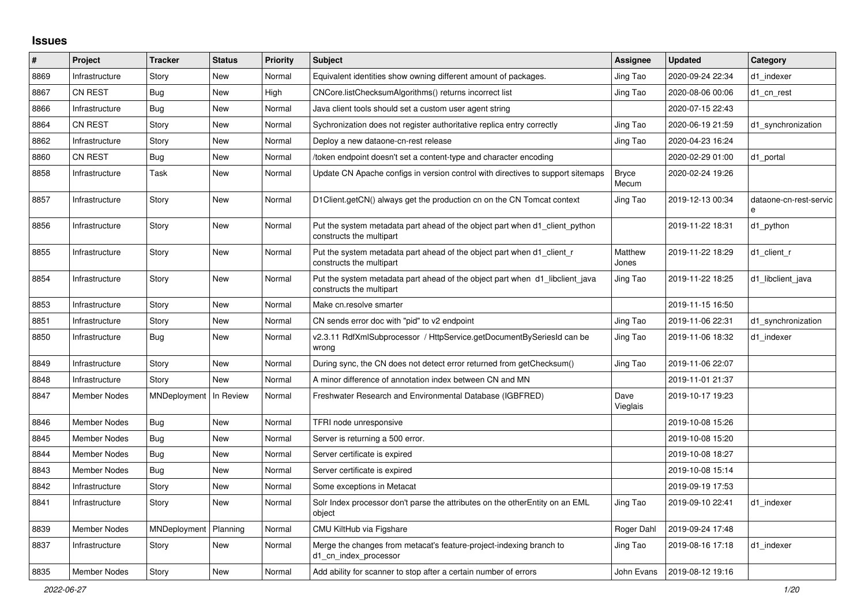## **Issues**

| #    | Project             | <b>Tracker</b>           | <b>Status</b> | <b>Priority</b> | <b>Subject</b>                                                                                           | Assignee         | <b>Updated</b>   | Category                    |
|------|---------------------|--------------------------|---------------|-----------------|----------------------------------------------------------------------------------------------------------|------------------|------------------|-----------------------------|
| 8869 | Infrastructure      | Story                    | <b>New</b>    | Normal          | Equivalent identities show owning different amount of packages.                                          | Jing Tao         | 2020-09-24 22:34 | d1 indexer                  |
| 8867 | CN REST             | <b>Bug</b>               | <b>New</b>    | High            | CNCore.listChecksumAlgorithms() returns incorrect list                                                   | Jing Tao         | 2020-08-06 00:06 | d1 cn rest                  |
| 8866 | Infrastructure      | <b>Bug</b>               | <b>New</b>    | Normal          | Java client tools should set a custom user agent string                                                  |                  | 2020-07-15 22:43 |                             |
| 8864 | <b>CN REST</b>      | Story                    | <b>New</b>    | Normal          | Sychronization does not register authoritative replica entry correctly                                   | Jing Tao         | 2020-06-19 21:59 | d1_synchronization          |
| 8862 | Infrastructure      | Story                    | <b>New</b>    | Normal          | Deploy a new dataone-cn-rest release                                                                     | Jing Tao         | 2020-04-23 16:24 |                             |
| 8860 | <b>CN REST</b>      | Bug                      | <b>New</b>    | Normal          | /token endpoint doesn't set a content-type and character encoding                                        |                  | 2020-02-29 01:00 | d1 portal                   |
| 8858 | Infrastructure      | Task                     | <b>New</b>    | Normal          | Update CN Apache configs in version control with directives to support sitemaps                          | Bryce<br>Mecum   | 2020-02-24 19:26 |                             |
| 8857 | Infrastructure      | Story                    | <b>New</b>    | Normal          | D1Client.getCN() always get the production cn on the CN Tomcat context                                   | Jing Tao         | 2019-12-13 00:34 | dataone-cn-rest-servic<br>e |
| 8856 | Infrastructure      | Story                    | <b>New</b>    | Normal          | Put the system metadata part ahead of the object part when d1_client_python<br>constructs the multipart  |                  | 2019-11-22 18:31 | d1_python                   |
| 8855 | Infrastructure      | Story                    | <b>New</b>    | Normal          | Put the system metadata part ahead of the object part when d1 client r<br>constructs the multipart       | Matthew<br>Jones | 2019-11-22 18:29 | d1 client r                 |
| 8854 | Infrastructure      | Story                    | <b>New</b>    | Normal          | Put the system metadata part ahead of the object part when d1_libclient_java<br>constructs the multipart | Jing Tao         | 2019-11-22 18:25 | d1_libclient_java           |
| 8853 | Infrastructure      | Story                    | <b>New</b>    | Normal          | Make cn.resolve smarter                                                                                  |                  | 2019-11-15 16:50 |                             |
| 8851 | Infrastructure      | Story                    | <b>New</b>    | Normal          | CN sends error doc with "pid" to v2 endpoint                                                             | Jing Tao         | 2019-11-06 22:31 | d1 synchronization          |
| 8850 | Infrastructure      | <b>Bug</b>               | <b>New</b>    | Normal          | v2.3.11 RdfXmlSubprocessor / HttpService.getDocumentBySeriesId can be<br>wrong                           | Jing Tao         | 2019-11-06 18:32 | d1 indexer                  |
| 8849 | Infrastructure      | Story                    | <b>New</b>    | Normal          | During sync, the CN does not detect error returned from getChecksum()                                    | Jing Tao         | 2019-11-06 22:07 |                             |
| 8848 | Infrastructure      | Story                    | <b>New</b>    | Normal          | A minor difference of annotation index between CN and MN                                                 |                  | 2019-11-01 21:37 |                             |
| 8847 | <b>Member Nodes</b> | MNDeployment   In Review |               | Normal          | Freshwater Research and Environmental Database (IGBFRED)                                                 | Dave<br>Vieglais | 2019-10-17 19:23 |                             |
| 8846 | <b>Member Nodes</b> | <b>Bug</b>               | <b>New</b>    | Normal          | TFRI node unresponsive                                                                                   |                  | 2019-10-08 15:26 |                             |
| 8845 | Member Nodes        | <b>Bug</b>               | New           | Normal          | Server is returning a 500 error.                                                                         |                  | 2019-10-08 15:20 |                             |
| 8844 | <b>Member Nodes</b> | Bug                      | <b>New</b>    | Normal          | Server certificate is expired                                                                            |                  | 2019-10-08 18:27 |                             |
| 8843 | <b>Member Nodes</b> | <b>Bug</b>               | <b>New</b>    | Normal          | Server certificate is expired                                                                            |                  | 2019-10-08 15:14 |                             |
| 8842 | Infrastructure      | Story                    | <b>New</b>    | Normal          | Some exceptions in Metacat                                                                               |                  | 2019-09-19 17:53 |                             |
| 8841 | Infrastructure      | Story                    | <b>New</b>    | Normal          | Solr Index processor don't parse the attributes on the otherEntity on an EML<br>object                   | Jing Tao         | 2019-09-10 22:41 | d1_indexer                  |
| 8839 | <b>Member Nodes</b> | MNDeployment             | Planning      | Normal          | CMU KiltHub via Figshare                                                                                 | Roger Dahl       | 2019-09-24 17:48 |                             |
| 8837 | Infrastructure      | Story                    | New           | Normal          | Merge the changes from metacat's feature-project-indexing branch to<br>d1_cn_index_processor             | Jing Tao         | 2019-08-16 17:18 | d1 indexer                  |
| 8835 | Member Nodes        | Story                    | <b>New</b>    | Normal          | Add ability for scanner to stop after a certain number of errors                                         | John Evans       | 2019-08-12 19:16 |                             |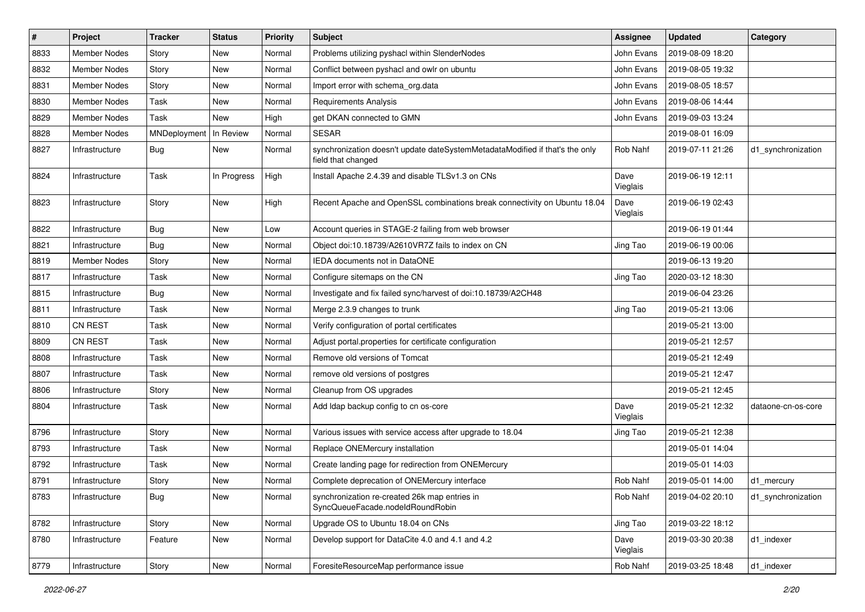| $\#$ | Project             | <b>Tracker</b> | <b>Status</b> | <b>Priority</b> | Subject                                                                                            | <b>Assignee</b>  | <b>Updated</b>   | Category           |
|------|---------------------|----------------|---------------|-----------------|----------------------------------------------------------------------------------------------------|------------------|------------------|--------------------|
| 8833 | <b>Member Nodes</b> | Story          | New           | Normal          | Problems utilizing pyshacl within SlenderNodes                                                     | John Evans       | 2019-08-09 18:20 |                    |
| 8832 | <b>Member Nodes</b> | Story          | <b>New</b>    | Normal          | Conflict between pyshacl and owlr on ubuntu                                                        | John Evans       | 2019-08-05 19:32 |                    |
| 8831 | Member Nodes        | Story          | New           | Normal          | Import error with schema_org.data                                                                  | John Evans       | 2019-08-05 18:57 |                    |
| 8830 | Member Nodes        | Task           | New           | Normal          | Requirements Analysis                                                                              | John Evans       | 2019-08-06 14:44 |                    |
| 8829 | <b>Member Nodes</b> | Task           | <b>New</b>    | High            | get DKAN connected to GMN                                                                          | John Evans       | 2019-09-03 13:24 |                    |
| 8828 | Member Nodes        | MNDeployment   | In Review     | Normal          | <b>SESAR</b>                                                                                       |                  | 2019-08-01 16:09 |                    |
| 8827 | Infrastructure      | <b>Bug</b>     | New           | Normal          | synchronization doesn't update dateSystemMetadataModified if that's the only<br>field that changed | Rob Nahf         | 2019-07-11 21:26 | d1_synchronization |
| 8824 | Infrastructure      | Task           | In Progress   | High            | Install Apache 2.4.39 and disable TLSv1.3 on CNs                                                   | Dave<br>Vieglais | 2019-06-19 12:11 |                    |
| 8823 | Infrastructure      | Story          | New           | High            | Recent Apache and OpenSSL combinations break connectivity on Ubuntu 18.04                          | Dave<br>Vieglais | 2019-06-19 02:43 |                    |
| 8822 | Infrastructure      | <b>Bug</b>     | <b>New</b>    | Low             | Account queries in STAGE-2 failing from web browser                                                |                  | 2019-06-19 01:44 |                    |
| 8821 | Infrastructure      | <b>Bug</b>     | New           | Normal          | Object doi:10.18739/A2610VR7Z fails to index on CN                                                 | Jing Tao         | 2019-06-19 00:06 |                    |
| 8819 | <b>Member Nodes</b> | Story          | New           | Normal          | IEDA documents not in DataONE                                                                      |                  | 2019-06-13 19:20 |                    |
| 8817 | Infrastructure      | Task           | New           | Normal          | Configure sitemaps on the CN                                                                       | Jing Tao         | 2020-03-12 18:30 |                    |
| 8815 | Infrastructure      | <b>Bug</b>     | New           | Normal          | Investigate and fix failed sync/harvest of doi:10.18739/A2CH48                                     |                  | 2019-06-04 23:26 |                    |
| 8811 | Infrastructure      | Task           | <b>New</b>    | Normal          | Merge 2.3.9 changes to trunk                                                                       | Jing Tao         | 2019-05-21 13:06 |                    |
| 8810 | <b>CN REST</b>      | Task           | New           | Normal          | Verify configuration of portal certificates                                                        |                  | 2019-05-21 13:00 |                    |
| 8809 | <b>CN REST</b>      | Task           | New           | Normal          | Adjust portal properties for certificate configuration                                             |                  | 2019-05-21 12:57 |                    |
| 8808 | Infrastructure      | Task           | <b>New</b>    | Normal          | Remove old versions of Tomcat                                                                      |                  | 2019-05-21 12:49 |                    |
| 8807 | Infrastructure      | Task           | New           | Normal          | remove old versions of postgres                                                                    |                  | 2019-05-21 12:47 |                    |
| 8806 | Infrastructure      | Story          | <b>New</b>    | Normal          | Cleanup from OS upgrades                                                                           |                  | 2019-05-21 12:45 |                    |
| 8804 | Infrastructure      | Task           | New           | Normal          | Add Idap backup config to cn os-core                                                               | Dave<br>Vieglais | 2019-05-21 12:32 | dataone-cn-os-core |
| 8796 | Infrastructure      | Story          | <b>New</b>    | Normal          | Various issues with service access after upgrade to 18.04                                          | Jing Tao         | 2019-05-21 12:38 |                    |
| 8793 | Infrastructure      | Task           | New           | Normal          | Replace ONEMercury installation                                                                    |                  | 2019-05-01 14:04 |                    |
| 8792 | Infrastructure      | Task           | New           | Normal          | Create landing page for redirection from ONEMercury                                                |                  | 2019-05-01 14:03 |                    |
| 8791 | Infrastructure      | Story          | New           | Normal          | Complete deprecation of ONEMercury interface                                                       | Rob Nahf         | 2019-05-01 14:00 | d1 mercury         |
| 8783 | Infrastructure      | <b>Bug</b>     | New           | Normal          | synchronization re-created 26k map entries in<br>SyncQueueFacade.nodeIdRoundRobin                  | Rob Nahf         | 2019-04-02 20:10 | d1_synchronization |
| 8782 | Infrastructure      | Story          | New           | Normal          | Upgrade OS to Ubuntu 18.04 on CNs                                                                  | Jing Tao         | 2019-03-22 18:12 |                    |
| 8780 | Infrastructure      | Feature        | New           | Normal          | Develop support for DataCite 4.0 and 4.1 and 4.2                                                   | Dave<br>Vieglais | 2019-03-30 20:38 | d1_indexer         |
| 8779 | Infrastructure      | Story          | New           | Normal          | ForesiteResourceMap performance issue                                                              | Rob Nahf         | 2019-03-25 18:48 | d1_indexer         |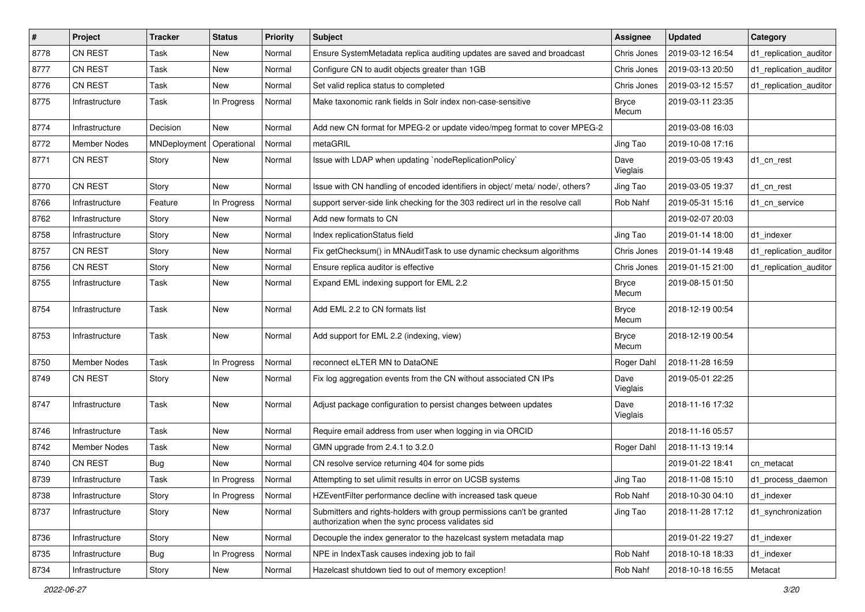| #    | Project             | <b>Tracker</b> | <b>Status</b> | <b>Priority</b> | Subject                                                                                                                    | <b>Assignee</b>       | <b>Updated</b>   | Category               |
|------|---------------------|----------------|---------------|-----------------|----------------------------------------------------------------------------------------------------------------------------|-----------------------|------------------|------------------------|
| 8778 | <b>CN REST</b>      | Task           | New           | Normal          | Ensure SystemMetadata replica auditing updates are saved and broadcast                                                     | Chris Jones           | 2019-03-12 16:54 | d1_replication_auditor |
| 8777 | CN REST             | Task           | <b>New</b>    | Normal          | Configure CN to audit objects greater than 1GB                                                                             | Chris Jones           | 2019-03-13 20:50 | d1_replication_auditor |
| 8776 | <b>CN REST</b>      | Task           | New           | Normal          | Set valid replica status to completed                                                                                      | Chris Jones           | 2019-03-12 15:57 | d1_replication_auditor |
| 8775 | Infrastructure      | Task           | In Progress   | Normal          | Make taxonomic rank fields in Solr index non-case-sensitive                                                                | <b>Bryce</b><br>Mecum | 2019-03-11 23:35 |                        |
| 8774 | Infrastructure      | Decision       | New           | Normal          | Add new CN format for MPEG-2 or update video/mpeg format to cover MPEG-2                                                   |                       | 2019-03-08 16:03 |                        |
| 8772 | <b>Member Nodes</b> | MNDeployment   | Operational   | Normal          | metaGRIL                                                                                                                   | Jing Tao              | 2019-10-08 17:16 |                        |
| 8771 | <b>CN REST</b>      | Story          | New           | Normal          | Issue with LDAP when updating `nodeReplicationPolicy`                                                                      | Dave<br>Vieglais      | 2019-03-05 19:43 | d1_cn_rest             |
| 8770 | CN REST             | Story          | <b>New</b>    | Normal          | Issue with CN handling of encoded identifiers in object/ meta/ node/, others?                                              | Jing Tao              | 2019-03-05 19:37 | d1 cn rest             |
| 8766 | Infrastructure      | Feature        | In Progress   | Normal          | support server-side link checking for the 303 redirect url in the resolve call                                             | Rob Nahf              | 2019-05-31 15:16 | d1 cn service          |
| 8762 | Infrastructure      | Story          | New           | Normal          | Add new formats to CN                                                                                                      |                       | 2019-02-07 20:03 |                        |
| 8758 | Infrastructure      | Story          | <b>New</b>    | Normal          | Index replicationStatus field                                                                                              | Jing Tao              | 2019-01-14 18:00 | d1_indexer             |
| 8757 | <b>CN REST</b>      | Story          | <b>New</b>    | Normal          | Fix getChecksum() in MNAuditTask to use dynamic checksum algorithms                                                        | Chris Jones           | 2019-01-14 19:48 | d1_replication_auditor |
| 8756 | CN REST             | Story          | New           | Normal          | Ensure replica auditor is effective                                                                                        | Chris Jones           | 2019-01-15 21:00 | d1_replication_auditor |
| 8755 | Infrastructure      | Task           | New           | Normal          | Expand EML indexing support for EML 2.2                                                                                    | <b>Bryce</b><br>Mecum | 2019-08-15 01:50 |                        |
| 8754 | Infrastructure      | Task           | New           | Normal          | Add EML 2.2 to CN formats list                                                                                             | <b>Bryce</b><br>Mecum | 2018-12-19 00:54 |                        |
| 8753 | Infrastructure      | Task           | New           | Normal          | Add support for EML 2.2 (indexing, view)                                                                                   | <b>Bryce</b><br>Mecum | 2018-12-19 00:54 |                        |
| 8750 | Member Nodes        | Task           | In Progress   | Normal          | reconnect eLTER MN to DataONE                                                                                              | Roger Dahl            | 2018-11-28 16:59 |                        |
| 8749 | CN REST             | Story          | New           | Normal          | Fix log aggregation events from the CN without associated CN IPs                                                           | Dave<br>Vieglais      | 2019-05-01 22:25 |                        |
| 8747 | Infrastructure      | Task           | New           | Normal          | Adjust package configuration to persist changes between updates                                                            | Dave<br>Vieglais      | 2018-11-16 17:32 |                        |
| 8746 | Infrastructure      | Task           | New           | Normal          | Require email address from user when logging in via ORCID                                                                  |                       | 2018-11-16 05:57 |                        |
| 8742 | Member Nodes        | Task           | New           | Normal          | GMN upgrade from 2.4.1 to 3.2.0                                                                                            | Roger Dahl            | 2018-11-13 19:14 |                        |
| 8740 | CN REST             | <b>Bug</b>     | <b>New</b>    | Normal          | CN resolve service returning 404 for some pids                                                                             |                       | 2019-01-22 18:41 | cn metacat             |
| 8739 | Infrastructure      | Task           | In Progress   | Normal          | Attempting to set ulimit results in error on UCSB systems                                                                  | Jing Tao              | 2018-11-08 15:10 | d1_process_daemon      |
| 8738 | Infrastructure      | Story          | In Progress   | Normal          | HZEventFilter performance decline with increased task queue                                                                | Rob Nahf              | 2018-10-30 04:10 | d1_indexer             |
| 8737 | Infrastructure      | Story          | New           | Normal          | Submitters and rights-holders with group permissions can't be granted<br>authorization when the sync process validates sid | Jing Tao              | 2018-11-28 17:12 | d1_synchronization     |
| 8736 | Infrastructure      | Story          | New           | Normal          | Decouple the index generator to the hazelcast system metadata map                                                          |                       | 2019-01-22 19:27 | d1_indexer             |
| 8735 | Infrastructure      | <b>Bug</b>     | In Progress   | Normal          | NPE in IndexTask causes indexing job to fail                                                                               | Rob Nahf              | 2018-10-18 18:33 | d1 indexer             |
| 8734 | Infrastructure      | Story          | New           | Normal          | Hazelcast shutdown tied to out of memory exception!                                                                        | Rob Nahf              | 2018-10-18 16:55 | Metacat                |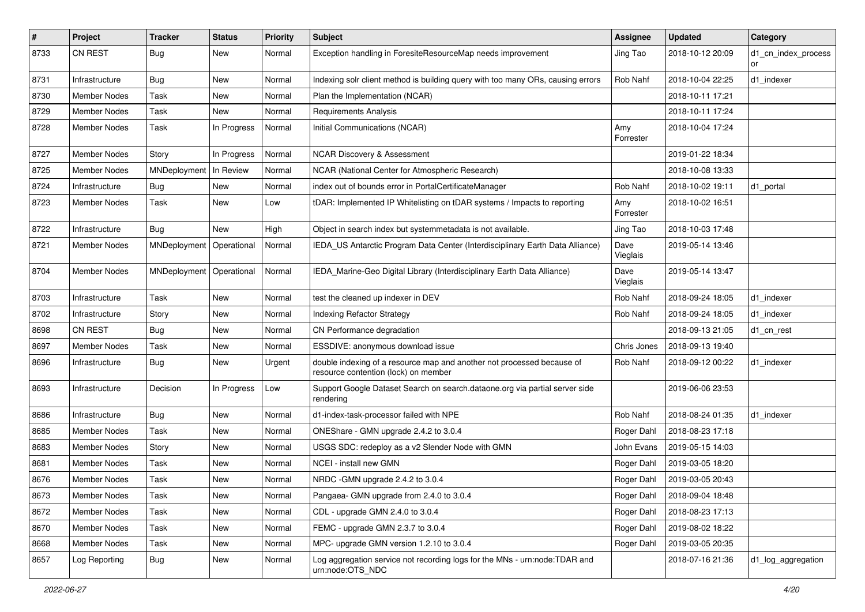| $\vert$ # | Project             | <b>Tracker</b> | <b>Status</b> | <b>Priority</b> | <b>Subject</b>                                                                                                 | <b>Assignee</b>  | <b>Updated</b>   | Category                  |
|-----------|---------------------|----------------|---------------|-----------------|----------------------------------------------------------------------------------------------------------------|------------------|------------------|---------------------------|
| 8733      | <b>CN REST</b>      | Bug            | New           | Normal          | Exception handling in ForesiteResourceMap needs improvement                                                    | Jing Tao         | 2018-10-12 20:09 | d1_cn_index_process<br>or |
| 8731      | Infrastructure      | <b>Bug</b>     | New           | Normal          | Indexing solr client method is building query with too many ORs, causing errors                                | Rob Nahf         | 2018-10-04 22:25 | d1 indexer                |
| 8730      | <b>Member Nodes</b> | Task           | New           | Normal          | Plan the Implementation (NCAR)                                                                                 |                  | 2018-10-11 17:21 |                           |
| 8729      | <b>Member Nodes</b> | Task           | New           | Normal          | <b>Requirements Analysis</b>                                                                                   |                  | 2018-10-11 17:24 |                           |
| 8728      | Member Nodes        | Task           | In Progress   | Normal          | Initial Communications (NCAR)                                                                                  | Amy<br>Forrester | 2018-10-04 17:24 |                           |
| 8727      | <b>Member Nodes</b> | Story          | In Progress   | Normal          | <b>NCAR Discovery &amp; Assessment</b>                                                                         |                  | 2019-01-22 18:34 |                           |
| 8725      | Member Nodes        | MNDeployment   | In Review     | Normal          | NCAR (National Center for Atmospheric Research)                                                                |                  | 2018-10-08 13:33 |                           |
| 8724      | Infrastructure      | <b>Bug</b>     | New           | Normal          | index out of bounds error in PortalCertificateManager                                                          | Rob Nahf         | 2018-10-02 19:11 | d1_portal                 |
| 8723      | Member Nodes        | Task           | New           | Low             | tDAR: Implemented IP Whitelisting on tDAR systems / Impacts to reporting                                       | Amy<br>Forrester | 2018-10-02 16:51 |                           |
| 8722      | Infrastructure      | Bug            | New           | High            | Object in search index but systemmetadata is not available.                                                    | Jing Tao         | 2018-10-03 17:48 |                           |
| 8721      | <b>Member Nodes</b> | MNDeployment   | Operational   | Normal          | IEDA_US Antarctic Program Data Center (Interdisciplinary Earth Data Alliance)                                  | Dave<br>Vieglais | 2019-05-14 13:46 |                           |
| 8704      | <b>Member Nodes</b> | MNDeployment   | Operational   | Normal          | IEDA_Marine-Geo Digital Library (Interdisciplinary Earth Data Alliance)                                        | Dave<br>Vieglais | 2019-05-14 13:47 |                           |
| 8703      | Infrastructure      | Task           | New           | Normal          | test the cleaned up indexer in DEV                                                                             | Rob Nahf         | 2018-09-24 18:05 | d1_indexer                |
| 8702      | Infrastructure      | Story          | New           | Normal          | <b>Indexing Refactor Strategy</b>                                                                              | Rob Nahf         | 2018-09-24 18:05 | d1 indexer                |
| 8698      | <b>CN REST</b>      | <b>Bug</b>     | New           | Normal          | CN Performance degradation                                                                                     |                  | 2018-09-13 21:05 | d1_cn_rest                |
| 8697      | <b>Member Nodes</b> | Task           | <b>New</b>    | Normal          | ESSDIVE: anonymous download issue                                                                              | Chris Jones      | 2018-09-13 19:40 |                           |
| 8696      | Infrastructure      | <b>Bug</b>     | New           | Urgent          | double indexing of a resource map and another not processed because of<br>resource contention (lock) on member | Rob Nahf         | 2018-09-12 00:22 | d1 indexer                |
| 8693      | Infrastructure      | Decision       | In Progress   | Low             | Support Google Dataset Search on search.dataone.org via partial server side<br>rendering                       |                  | 2019-06-06 23:53 |                           |
| 8686      | Infrastructure      | Bug            | <b>New</b>    | Normal          | d1-index-task-processor failed with NPE                                                                        | Rob Nahf         | 2018-08-24 01:35 | d1_indexer                |
| 8685      | <b>Member Nodes</b> | Task           | New           | Normal          | ONEShare - GMN upgrade 2.4.2 to 3.0.4                                                                          | Roger Dahl       | 2018-08-23 17:18 |                           |
| 8683      | <b>Member Nodes</b> | Story          | <b>New</b>    | Normal          | USGS SDC: redeploy as a v2 Slender Node with GMN                                                               | John Evans       | 2019-05-15 14:03 |                           |
| 8681      | <b>Member Nodes</b> | Task           | New           | Normal          | <b>NCEI - install new GMN</b>                                                                                  | Roger Dahl       | 2019-03-05 18:20 |                           |
| 8676      | Member Nodes        | Task           | New           | Normal          | NRDC - GMN upgrade 2.4.2 to 3.0.4                                                                              | Roger Dahl       | 2019-03-05 20:43 |                           |
| 8673      | Member Nodes        | Task           | New           | Normal          | Pangaea- GMN upgrade from 2.4.0 to 3.0.4                                                                       | Roger Dahl       | 2018-09-04 18:48 |                           |
| 8672      | Member Nodes        | Task           | New           | Normal          | CDL - upgrade GMN 2.4.0 to 3.0.4                                                                               | Roger Dahl       | 2018-08-23 17:13 |                           |
| 8670      | Member Nodes        | Task           | New           | Normal          | FEMC - upgrade GMN 2.3.7 to 3.0.4                                                                              | Roger Dahl       | 2019-08-02 18:22 |                           |
| 8668      | Member Nodes        | Task           | New           | Normal          | MPC- upgrade GMN version 1.2.10 to 3.0.4                                                                       | Roger Dahl       | 2019-03-05 20:35 |                           |
| 8657      | Log Reporting       | Bug            | New           | Normal          | Log aggregation service not recording logs for the MNs - urn:node:TDAR and<br>urn:node:OTS NDC                 |                  | 2018-07-16 21:36 | d1_log_aggregation        |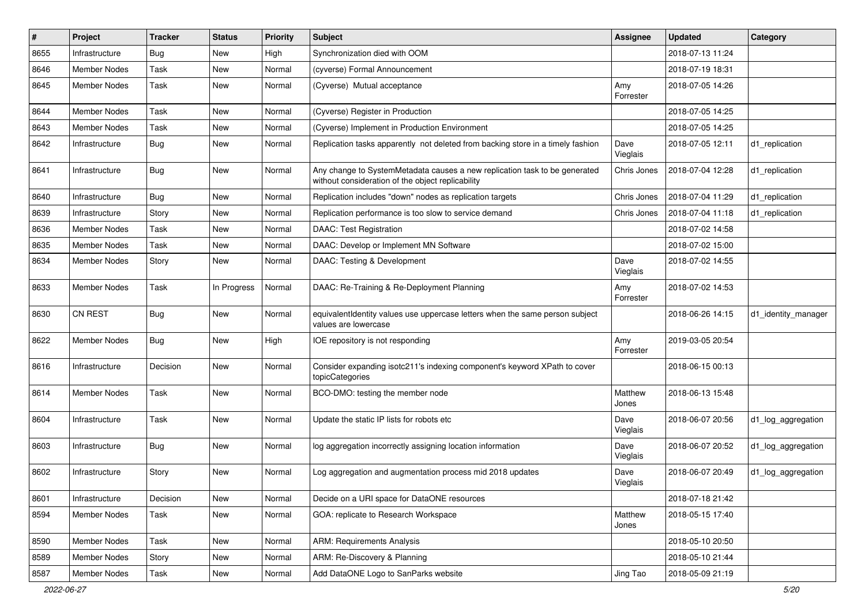| $\pmb{\#}$ | Project             | <b>Tracker</b> | <b>Status</b> | <b>Priority</b> | <b>Subject</b>                                                                                                                  | <b>Assignee</b>  | <b>Updated</b>   | Category            |
|------------|---------------------|----------------|---------------|-----------------|---------------------------------------------------------------------------------------------------------------------------------|------------------|------------------|---------------------|
| 8655       | Infrastructure      | <b>Bug</b>     | <b>New</b>    | High            | Synchronization died with OOM                                                                                                   |                  | 2018-07-13 11:24 |                     |
| 8646       | <b>Member Nodes</b> | Task           | <b>New</b>    | Normal          | (cyverse) Formal Announcement                                                                                                   |                  | 2018-07-19 18:31 |                     |
| 8645       | <b>Member Nodes</b> | Task           | <b>New</b>    | Normal          | (Cyverse) Mutual acceptance                                                                                                     | Amy<br>Forrester | 2018-07-05 14:26 |                     |
| 8644       | <b>Member Nodes</b> | Task           | <b>New</b>    | Normal          | (Cyverse) Register in Production                                                                                                |                  | 2018-07-05 14:25 |                     |
| 8643       | Member Nodes        | Task           | New           | Normal          | (Cyverse) Implement in Production Environment                                                                                   |                  | 2018-07-05 14:25 |                     |
| 8642       | Infrastructure      | Bug            | New           | Normal          | Replication tasks apparently not deleted from backing store in a timely fashion                                                 | Dave<br>Vieglais | 2018-07-05 12:11 | d1 replication      |
| 8641       | Infrastructure      | Bug            | <b>New</b>    | Normal          | Any change to SystemMetadata causes a new replication task to be generated<br>without consideration of the object replicability | Chris Jones      | 2018-07-04 12:28 | d1_replication      |
| 8640       | Infrastructure      | Bug            | New           | Normal          | Replication includes "down" nodes as replication targets                                                                        | Chris Jones      | 2018-07-04 11:29 | d1_replication      |
| 8639       | Infrastructure      | Story          | New           | Normal          | Replication performance is too slow to service demand                                                                           | Chris Jones      | 2018-07-04 11:18 | d1_replication      |
| 8636       | <b>Member Nodes</b> | Task           | <b>New</b>    | Normal          | <b>DAAC: Test Registration</b>                                                                                                  |                  | 2018-07-02 14:58 |                     |
| 8635       | <b>Member Nodes</b> | Task           | New           | Normal          | DAAC: Develop or Implement MN Software                                                                                          |                  | 2018-07-02 15:00 |                     |
| 8634       | Member Nodes        | Story          | <b>New</b>    | Normal          | DAAC: Testing & Development                                                                                                     | Dave<br>Vieglais | 2018-07-02 14:55 |                     |
| 8633       | <b>Member Nodes</b> | Task           | In Progress   | Normal          | DAAC: Re-Training & Re-Deployment Planning                                                                                      | Amy<br>Forrester | 2018-07-02 14:53 |                     |
| 8630       | <b>CN REST</b>      | Bug            | <b>New</b>    | Normal          | equivalentIdentity values use uppercase letters when the same person subject<br>values are lowercase                            |                  | 2018-06-26 14:15 | d1 identity manager |
| 8622       | Member Nodes        | Bug            | New           | High            | IOE repository is not responding                                                                                                | Amy<br>Forrester | 2019-03-05 20:54 |                     |
| 8616       | Infrastructure      | Decision       | New           | Normal          | Consider expanding isotc211's indexing component's keyword XPath to cover<br>topicCategories                                    |                  | 2018-06-15 00:13 |                     |
| 8614       | Member Nodes        | Task           | <b>New</b>    | Normal          | BCO-DMO: testing the member node                                                                                                | Matthew<br>Jones | 2018-06-13 15:48 |                     |
| 8604       | Infrastructure      | Task           | <b>New</b>    | Normal          | Update the static IP lists for robots etc                                                                                       | Dave<br>Vieglais | 2018-06-07 20:56 | d1_log_aggregation  |
| 8603       | Infrastructure      | Bug            | <b>New</b>    | Normal          | log aggregation incorrectly assigning location information                                                                      | Dave<br>Vieglais | 2018-06-07 20:52 | d1_log_aggregation  |
| 8602       | Infrastructure      | Story          | New           | Normal          | Log aggregation and augmentation process mid 2018 updates                                                                       | Dave<br>Vieglais | 2018-06-07 20:49 | d1_log_aggregation  |
| 8601       | Infrastructure      | Decision       | New           | Normal          | Decide on a URI space for DataONE resources                                                                                     |                  | 2018-07-18 21:42 |                     |
| 8594       | Member Nodes        | Task           | New           | Normal          | GOA: replicate to Research Workspace                                                                                            | Matthew<br>Jones | 2018-05-15 17:40 |                     |
| 8590       | Member Nodes        | Task           | New           | Normal          | <b>ARM: Requirements Analysis</b>                                                                                               |                  | 2018-05-10 20:50 |                     |
| 8589       | Member Nodes        | Story          | New           | Normal          | ARM: Re-Discovery & Planning                                                                                                    |                  | 2018-05-10 21:44 |                     |
| 8587       | Member Nodes        | Task           | New           | Normal          | Add DataONE Logo to SanParks website                                                                                            | Jing Tao         | 2018-05-09 21:19 |                     |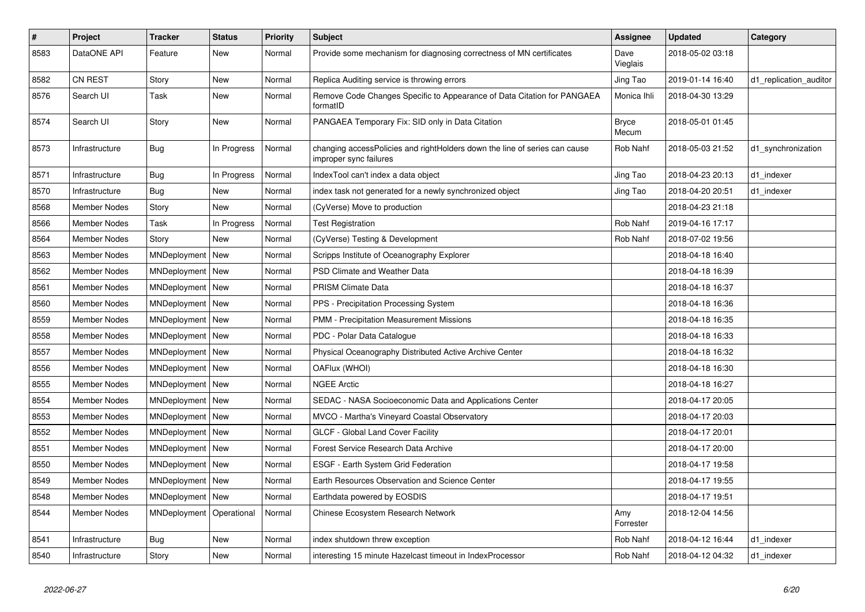| $\vert$ # | Project             | <b>Tracker</b> | <b>Status</b> | <b>Priority</b> | <b>Subject</b>                                                                                       | Assignee              | <b>Updated</b>   | Category               |
|-----------|---------------------|----------------|---------------|-----------------|------------------------------------------------------------------------------------------------------|-----------------------|------------------|------------------------|
| 8583      | DataONE API         | Feature        | <b>New</b>    | Normal          | Provide some mechanism for diagnosing correctness of MN certificates                                 | Dave<br>Vieglais      | 2018-05-02 03:18 |                        |
| 8582      | <b>CN REST</b>      | Story          | New           | Normal          | Replica Auditing service is throwing errors                                                          | Jing Tao              | 2019-01-14 16:40 | d1_replication_auditor |
| 8576      | Search UI           | Task           | <b>New</b>    | Normal          | Remove Code Changes Specific to Appearance of Data Citation for PANGAEA<br>formatID                  | Monica Ihli           | 2018-04-30 13:29 |                        |
| 8574      | Search UI           | Story          | New           | Normal          | PANGAEA Temporary Fix: SID only in Data Citation                                                     | <b>Bryce</b><br>Mecum | 2018-05-01 01:45 |                        |
| 8573      | Infrastructure      | <b>Bug</b>     | In Progress   | Normal          | changing accessPolicies and rightHolders down the line of series can cause<br>improper sync failures | Rob Nahf              | 2018-05-03 21:52 | d1_synchronization     |
| 8571      | Infrastructure      | Bug            | In Progress   | Normal          | IndexTool can't index a data object                                                                  | Jing Tao              | 2018-04-23 20:13 | d1 indexer             |
| 8570      | Infrastructure      | Bug            | <b>New</b>    | Normal          | index task not generated for a newly synchronized object                                             | Jing Tao              | 2018-04-20 20:51 | d1 indexer             |
| 8568      | <b>Member Nodes</b> | Story          | <b>New</b>    | Normal          | (CyVerse) Move to production                                                                         |                       | 2018-04-23 21:18 |                        |
| 8566      | <b>Member Nodes</b> | Task           | In Progress   | Normal          | <b>Test Registration</b>                                                                             | Rob Nahf              | 2019-04-16 17:17 |                        |
| 8564      | <b>Member Nodes</b> | Story          | <b>New</b>    | Normal          | (CyVerse) Testing & Development                                                                      | Rob Nahf              | 2018-07-02 19:56 |                        |
| 8563      | <b>Member Nodes</b> | MNDeployment   | New           | Normal          | Scripps Institute of Oceanography Explorer                                                           |                       | 2018-04-18 16:40 |                        |
| 8562      | Member Nodes        | MNDeployment   | New           | Normal          | PSD Climate and Weather Data                                                                         |                       | 2018-04-18 16:39 |                        |
| 8561      | <b>Member Nodes</b> | MNDeployment   | New           | Normal          | <b>PRISM Climate Data</b>                                                                            |                       | 2018-04-18 16:37 |                        |
| 8560      | <b>Member Nodes</b> | MNDeployment   | New           | Normal          | PPS - Precipitation Processing System                                                                |                       | 2018-04-18 16:36 |                        |
| 8559      | <b>Member Nodes</b> | MNDeployment   | New           | Normal          | PMM - Precipitation Measurement Missions                                                             |                       | 2018-04-18 16:35 |                        |
| 8558      | Member Nodes        | MNDeployment   | New           | Normal          | PDC - Polar Data Catalogue                                                                           |                       | 2018-04-18 16:33 |                        |
| 8557      | <b>Member Nodes</b> | MNDeployment   | New           | Normal          | Physical Oceanography Distributed Active Archive Center                                              |                       | 2018-04-18 16:32 |                        |
| 8556      | <b>Member Nodes</b> | MNDeployment   | New           | Normal          | OAFlux (WHOI)                                                                                        |                       | 2018-04-18 16:30 |                        |
| 8555      | <b>Member Nodes</b> | MNDeployment   | New           | Normal          | <b>NGEE Arctic</b>                                                                                   |                       | 2018-04-18 16:27 |                        |
| 8554      | Member Nodes        | MNDeployment   | New           | Normal          | SEDAC - NASA Socioeconomic Data and Applications Center                                              |                       | 2018-04-17 20:05 |                        |
| 8553      | Member Nodes        | MNDeployment   | New           | Normal          | MVCO - Martha's Vineyard Coastal Observatory                                                         |                       | 2018-04-17 20:03 |                        |
| 8552      | <b>Member Nodes</b> | MNDeployment   | New           | Normal          | <b>GLCF - Global Land Cover Facility</b>                                                             |                       | 2018-04-17 20:01 |                        |
| 8551      | <b>Member Nodes</b> | MNDeployment   | New           | Normal          | Forest Service Research Data Archive                                                                 |                       | 2018-04-17 20:00 |                        |
| 8550      | Member Nodes        | MNDeployment   | New           | Normal          | ESGF - Earth System Grid Federation                                                                  |                       | 2018-04-17 19:58 |                        |
| 8549      | <b>Member Nodes</b> | MNDeployment   | New           | Normal          | Earth Resources Observation and Science Center                                                       |                       | 2018-04-17 19:55 |                        |
| 8548      | <b>Member Nodes</b> | MNDeployment   | New           | Normal          | Earthdata powered by EOSDIS                                                                          |                       | 2018-04-17 19:51 |                        |
| 8544      | <b>Member Nodes</b> | MNDeployment   | Operational   | Normal          | Chinese Ecosystem Research Network                                                                   | Amy<br>Forrester      | 2018-12-04 14:56 |                        |
| 8541      | Infrastructure      | Bug            | New           | Normal          | index shutdown threw exception                                                                       | Rob Nahf              | 2018-04-12 16:44 | d1 indexer             |
| 8540      | Infrastructure      | Story          | New           | Normal          | interesting 15 minute Hazelcast timeout in IndexProcessor                                            | Rob Nahf              | 2018-04-12 04:32 | d1 indexer             |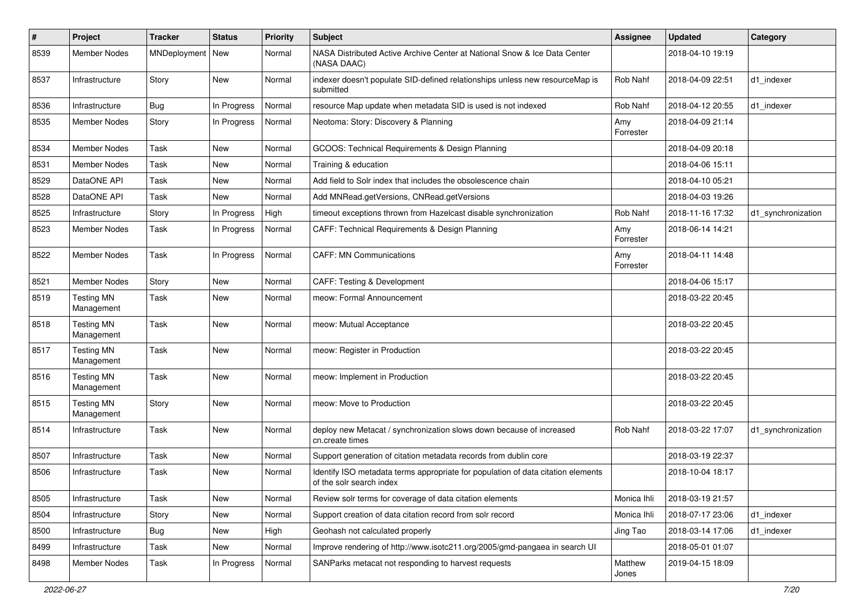| $\pmb{\#}$ | Project                         | <b>Tracker</b>     | <b>Status</b> | <b>Priority</b> | <b>Subject</b>                                                                                               | <b>Assignee</b>  | <b>Updated</b>   | Category           |
|------------|---------------------------------|--------------------|---------------|-----------------|--------------------------------------------------------------------------------------------------------------|------------------|------------------|--------------------|
| 8539       | <b>Member Nodes</b>             | MNDeployment   New |               | Normal          | NASA Distributed Active Archive Center at National Snow & Ice Data Center<br>(NASA DAAC)                     |                  | 2018-04-10 19:19 |                    |
| 8537       | Infrastructure                  | Story              | New           | Normal          | indexer doesn't populate SID-defined relationships unless new resourceMap is<br>submitted                    | Rob Nahf         | 2018-04-09 22:51 | d1 indexer         |
| 8536       | Infrastructure                  | Bug                | In Progress   | Normal          | resource Map update when metadata SID is used is not indexed                                                 | Rob Nahf         | 2018-04-12 20:55 | d1_indexer         |
| 8535       | Member Nodes                    | Story              | In Progress   | Normal          | Neotoma: Story: Discovery & Planning                                                                         | Amy<br>Forrester | 2018-04-09 21:14 |                    |
| 8534       | <b>Member Nodes</b>             | Task               | <b>New</b>    | Normal          | GCOOS: Technical Requirements & Design Planning                                                              |                  | 2018-04-09 20:18 |                    |
| 8531       | <b>Member Nodes</b>             | Task               | <b>New</b>    | Normal          | Training & education                                                                                         |                  | 2018-04-06 15:11 |                    |
| 8529       | DataONE API                     | Task               | <b>New</b>    | Normal          | Add field to Solr index that includes the obsolescence chain                                                 |                  | 2018-04-10 05:21 |                    |
| 8528       | DataONE API                     | Task               | New           | Normal          | Add MNRead.getVersions, CNRead.getVersions                                                                   |                  | 2018-04-03 19:26 |                    |
| 8525       | Infrastructure                  | Story              | In Progress   | High            | timeout exceptions thrown from Hazelcast disable synchronization                                             | Rob Nahf         | 2018-11-16 17:32 | d1_synchronization |
| 8523       | Member Nodes                    | Task               | In Progress   | Normal          | CAFF: Technical Requirements & Design Planning                                                               | Amy<br>Forrester | 2018-06-14 14:21 |                    |
| 8522       | <b>Member Nodes</b>             | Task               | In Progress   | Normal          | <b>CAFF: MN Communications</b>                                                                               | Amy<br>Forrester | 2018-04-11 14:48 |                    |
| 8521       | Member Nodes                    | Story              | <b>New</b>    | Normal          | <b>CAFF: Testing &amp; Development</b>                                                                       |                  | 2018-04-06 15:17 |                    |
| 8519       | <b>Testing MN</b><br>Management | Task               | <b>New</b>    | Normal          | meow: Formal Announcement                                                                                    |                  | 2018-03-22 20:45 |                    |
| 8518       | <b>Testing MN</b><br>Management | Task               | <b>New</b>    | Normal          | meow: Mutual Acceptance                                                                                      |                  | 2018-03-22 20:45 |                    |
| 8517       | <b>Testing MN</b><br>Management | Task               | New           | Normal          | meow: Register in Production                                                                                 |                  | 2018-03-22 20:45 |                    |
| 8516       | <b>Testing MN</b><br>Management | Task               | New           | Normal          | meow: Implement in Production                                                                                |                  | 2018-03-22 20:45 |                    |
| 8515       | <b>Testing MN</b><br>Management | Story              | <b>New</b>    | Normal          | meow: Move to Production                                                                                     |                  | 2018-03-22 20:45 |                    |
| 8514       | Infrastructure                  | Task               | <b>New</b>    | Normal          | deploy new Metacat / synchronization slows down because of increased<br>cn.create times                      | Rob Nahf         | 2018-03-22 17:07 | d1_synchronization |
| 8507       | Infrastructure                  | Task               | <b>New</b>    | Normal          | Support generation of citation metadata records from dublin core                                             |                  | 2018-03-19 22:37 |                    |
| 8506       | Infrastructure                  | Task               | New           | Normal          | Identify ISO metadata terms appropriate for population of data citation elements<br>of the solr search index |                  | 2018-10-04 18:17 |                    |
| 8505       | Infrastructure                  | Task               | New           | Normal          | Review solr terms for coverage of data citation elements                                                     | Monica Ihli      | 2018-03-19 21:57 |                    |
| 8504       | Infrastructure                  | Story              | New           | Normal          | Support creation of data citation record from solr record                                                    | Monica Ihli      | 2018-07-17 23:06 | d1_indexer         |
| 8500       | Infrastructure                  | <b>Bug</b>         | New           | High            | Geohash not calculated properly                                                                              | Jing Tao         | 2018-03-14 17:06 | d1 indexer         |
| 8499       | Infrastructure                  | Task               | New           | Normal          | Improve rendering of http://www.isotc211.org/2005/gmd-pangaea in search UI                                   |                  | 2018-05-01 01:07 |                    |
| 8498       | Member Nodes                    | Task               | In Progress   | Normal          | SANParks metacat not responding to harvest requests                                                          | Matthew<br>Jones | 2019-04-15 18:09 |                    |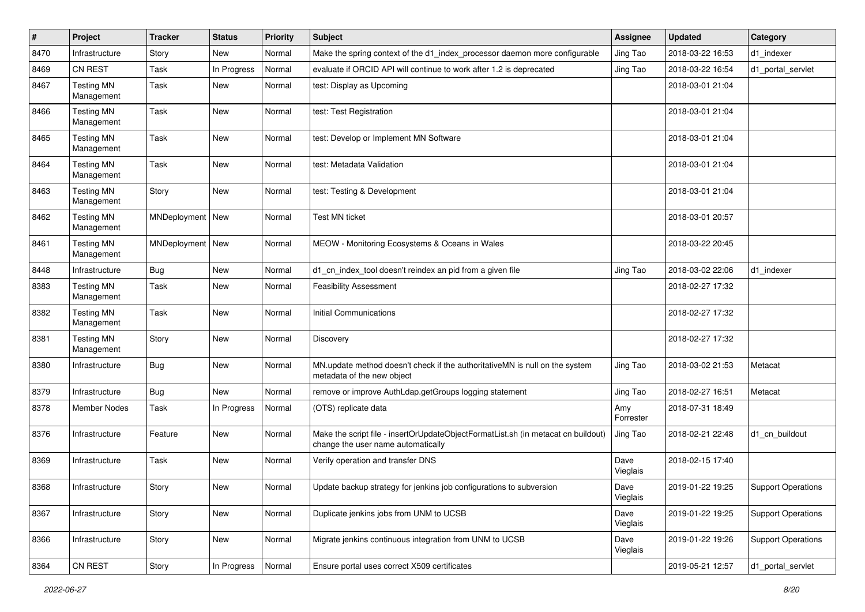| $\sharp$ | Project                         | <b>Tracker</b>     | <b>Status</b> | <b>Priority</b> | Subject                                                                                                                 | <b>Assignee</b>  | <b>Updated</b>   | Category                  |
|----------|---------------------------------|--------------------|---------------|-----------------|-------------------------------------------------------------------------------------------------------------------------|------------------|------------------|---------------------------|
| 8470     | Infrastructure                  | Story              | New           | Normal          | Make the spring context of the d1_index_processor daemon more configurable                                              | Jing Tao         | 2018-03-22 16:53 | d1_indexer                |
| 8469     | CN REST                         | Task               | In Progress   | Normal          | evaluate if ORCID API will continue to work after 1.2 is deprecated                                                     | Jing Tao         | 2018-03-22 16:54 | d1 portal servlet         |
| 8467     | <b>Testing MN</b><br>Management | Task               | New           | Normal          | test: Display as Upcoming                                                                                               |                  | 2018-03-01 21:04 |                           |
| 8466     | <b>Testing MN</b><br>Management | Task               | New           | Normal          | test: Test Registration                                                                                                 |                  | 2018-03-01 21:04 |                           |
| 8465     | <b>Testing MN</b><br>Management | Task               | <b>New</b>    | Normal          | test: Develop or Implement MN Software                                                                                  |                  | 2018-03-01 21:04 |                           |
| 8464     | <b>Testing MN</b><br>Management | Task               | New           | Normal          | test: Metadata Validation                                                                                               |                  | 2018-03-01 21:04 |                           |
| 8463     | <b>Testing MN</b><br>Management | Story              | New           | Normal          | test: Testing & Development                                                                                             |                  | 2018-03-01 21:04 |                           |
| 8462     | <b>Testing MN</b><br>Management | MNDeployment   New |               | Normal          | <b>Test MN ticket</b>                                                                                                   |                  | 2018-03-01 20:57 |                           |
| 8461     | <b>Testing MN</b><br>Management | MNDeployment   New |               | Normal          | MEOW - Monitoring Ecosystems & Oceans in Wales                                                                          |                  | 2018-03-22 20:45 |                           |
| 8448     | Infrastructure                  | <b>Bug</b>         | <b>New</b>    | Normal          | d1_cn_index_tool doesn't reindex an pid from a given file                                                               | Jing Tao         | 2018-03-02 22:06 | d1_indexer                |
| 8383     | <b>Testing MN</b><br>Management | Task               | New           | Normal          | <b>Feasibility Assessment</b>                                                                                           |                  | 2018-02-27 17:32 |                           |
| 8382     | <b>Testing MN</b><br>Management | Task               | New           | Normal          | <b>Initial Communications</b>                                                                                           |                  | 2018-02-27 17:32 |                           |
| 8381     | <b>Testing MN</b><br>Management | Story              | New           | Normal          | Discovery                                                                                                               |                  | 2018-02-27 17:32 |                           |
| 8380     | Infrastructure                  | <b>Bug</b>         | <b>New</b>    | Normal          | MN.update method doesn't check if the authoritativeMN is null on the system<br>metadata of the new object               | Jing Tao         | 2018-03-02 21:53 | Metacat                   |
| 8379     | Infrastructure                  | <b>Bug</b>         | New           | Normal          | remove or improve AuthLdap.getGroups logging statement                                                                  | Jing Tao         | 2018-02-27 16:51 | Metacat                   |
| 8378     | Member Nodes                    | Task               | In Progress   | Normal          | (OTS) replicate data                                                                                                    | Amy<br>Forrester | 2018-07-31 18:49 |                           |
| 8376     | Infrastructure                  | Feature            | New           | Normal          | Make the script file - insertOrUpdateObjectFormatList.sh (in metacat cn buildout)<br>change the user name automatically | Jing Tao         | 2018-02-21 22:48 | d1 cn buildout            |
| 8369     | Infrastructure                  | Task               | New           | Normal          | Verify operation and transfer DNS                                                                                       | Dave<br>Vieglais | 2018-02-15 17:40 |                           |
| 8368     | Infrastructure                  | Story              | New           | Normal          | Update backup strategy for jenkins job configurations to subversion                                                     | Dave<br>Vieglais | 2019-01-22 19:25 | <b>Support Operations</b> |
| 8367     | Infrastructure                  | Story              | New           | Normal          | Duplicate jenkins jobs from UNM to UCSB                                                                                 | Dave<br>Vieglais | 2019-01-22 19:25 | <b>Support Operations</b> |
| 8366     | Infrastructure                  | Story              | New           | Normal          | Migrate jenkins continuous integration from UNM to UCSB                                                                 | Dave<br>Vieglais | 2019-01-22 19:26 | <b>Support Operations</b> |
| 8364     | CN REST                         | Story              | In Progress   | Normal          | Ensure portal uses correct X509 certificates                                                                            |                  | 2019-05-21 12:57 | d1_portal_servlet         |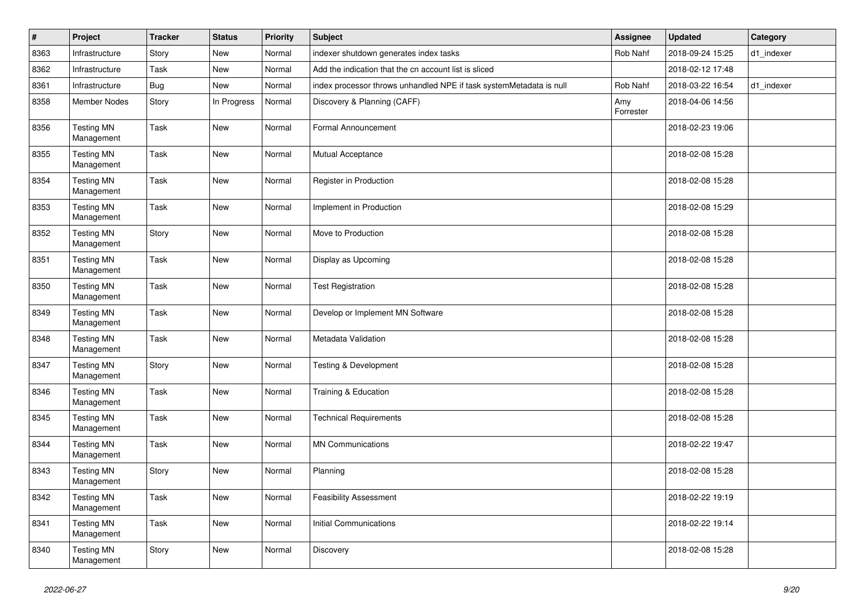| $\vert$ # | Project                         | <b>Tracker</b> | <b>Status</b> | <b>Priority</b> | <b>Subject</b>                                                      | <b>Assignee</b>  | <b>Updated</b>   | Category   |
|-----------|---------------------------------|----------------|---------------|-----------------|---------------------------------------------------------------------|------------------|------------------|------------|
| 8363      | Infrastructure                  | Story          | <b>New</b>    | Normal          | indexer shutdown generates index tasks                              | Rob Nahf         | 2018-09-24 15:25 | d1 indexer |
| 8362      | Infrastructure                  | Task           | <b>New</b>    | Normal          | Add the indication that the cn account list is sliced               |                  | 2018-02-12 17:48 |            |
| 8361      | Infrastructure                  | <b>Bug</b>     | <b>New</b>    | Normal          | index processor throws unhandled NPE if task systemMetadata is null | Rob Nahf         | 2018-03-22 16:54 | d1 indexer |
| 8358      | <b>Member Nodes</b>             | Story          | In Progress   | Normal          | Discovery & Planning (CAFF)                                         | Amy<br>Forrester | 2018-04-06 14:56 |            |
| 8356      | <b>Testing MN</b><br>Management | Task           | New           | Normal          | Formal Announcement                                                 |                  | 2018-02-23 19:06 |            |
| 8355      | <b>Testing MN</b><br>Management | Task           | New           | Normal          | Mutual Acceptance                                                   |                  | 2018-02-08 15:28 |            |
| 8354      | <b>Testing MN</b><br>Management | Task           | New           | Normal          | Register in Production                                              |                  | 2018-02-08 15:28 |            |
| 8353      | <b>Testing MN</b><br>Management | Task           | <b>New</b>    | Normal          | Implement in Production                                             |                  | 2018-02-08 15:29 |            |
| 8352      | <b>Testing MN</b><br>Management | Story          | New           | Normal          | Move to Production                                                  |                  | 2018-02-08 15:28 |            |
| 8351      | <b>Testing MN</b><br>Management | Task           | New           | Normal          | Display as Upcoming                                                 |                  | 2018-02-08 15:28 |            |
| 8350      | <b>Testing MN</b><br>Management | Task           | New           | Normal          | <b>Test Registration</b>                                            |                  | 2018-02-08 15:28 |            |
| 8349      | <b>Testing MN</b><br>Management | Task           | <b>New</b>    | Normal          | Develop or Implement MN Software                                    |                  | 2018-02-08 15:28 |            |
| 8348      | <b>Testing MN</b><br>Management | Task           | <b>New</b>    | Normal          | Metadata Validation                                                 |                  | 2018-02-08 15:28 |            |
| 8347      | <b>Testing MN</b><br>Management | Story          | New           | Normal          | <b>Testing &amp; Development</b>                                    |                  | 2018-02-08 15:28 |            |
| 8346      | <b>Testing MN</b><br>Management | Task           | New           | Normal          | Training & Education                                                |                  | 2018-02-08 15:28 |            |
| 8345      | <b>Testing MN</b><br>Management | Task           | <b>New</b>    | Normal          | <b>Technical Requirements</b>                                       |                  | 2018-02-08 15:28 |            |
| 8344      | <b>Testing MN</b><br>Management | Task           | New           | Normal          | <b>MN Communications</b>                                            |                  | 2018-02-22 19:47 |            |
| 8343      | <b>Testing MN</b><br>Management | Story          | New           | Normal          | Planning                                                            |                  | 2018-02-08 15:28 |            |
| 8342      | <b>Testing MN</b><br>Management | Task           | New           | Normal          | <b>Feasibility Assessment</b>                                       |                  | 2018-02-22 19:19 |            |
| 8341      | <b>Testing MN</b><br>Management | Task           | New           | Normal          | <b>Initial Communications</b>                                       |                  | 2018-02-22 19:14 |            |
| 8340      | <b>Testing MN</b><br>Management | Story          | New           | Normal          | Discovery                                                           |                  | 2018-02-08 15:28 |            |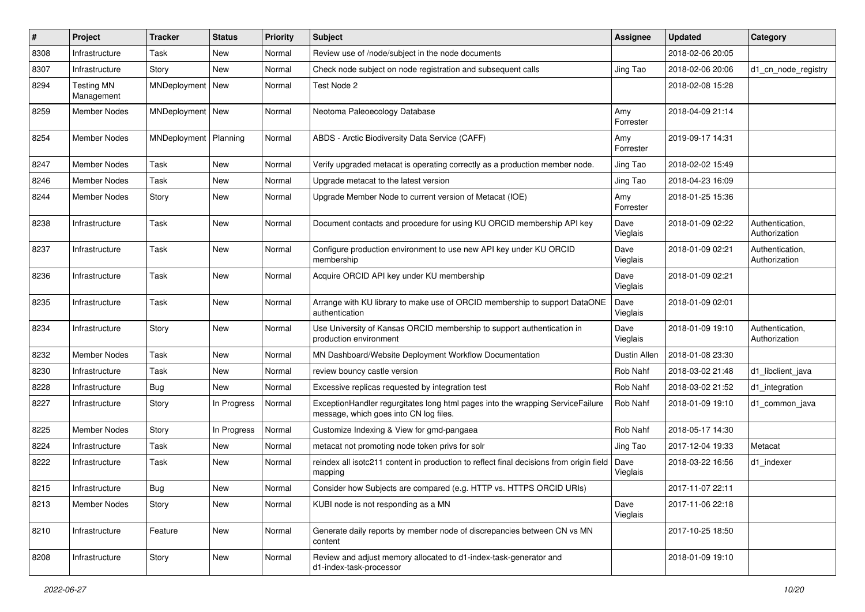| #    | Project                         | <b>Tracker</b>     | <b>Status</b> | <b>Priority</b> | <b>Subject</b>                                                                                                           | <b>Assignee</b>  | <b>Updated</b>   | Category                         |
|------|---------------------------------|--------------------|---------------|-----------------|--------------------------------------------------------------------------------------------------------------------------|------------------|------------------|----------------------------------|
| 8308 | Infrastructure                  | Task               | New           | Normal          | Review use of /node/subject in the node documents                                                                        |                  | 2018-02-06 20:05 |                                  |
| 8307 | Infrastructure                  | Story              | <b>New</b>    | Normal          | Check node subject on node registration and subsequent calls                                                             | Jing Tao         | 2018-02-06 20:06 | d1_cn_node_registry              |
| 8294 | <b>Testing MN</b><br>Management | MNDeployment       | New           | Normal          | Test Node 2                                                                                                              |                  | 2018-02-08 15:28 |                                  |
| 8259 | Member Nodes                    | MNDeployment   New |               | Normal          | Neotoma Paleoecology Database                                                                                            | Amy<br>Forrester | 2018-04-09 21:14 |                                  |
| 8254 | Member Nodes                    | MNDeployment       | Planning      | Normal          | ABDS - Arctic Biodiversity Data Service (CAFF)                                                                           | Amy<br>Forrester | 2019-09-17 14:31 |                                  |
| 8247 | <b>Member Nodes</b>             | Task               | <b>New</b>    | Normal          | Verify upgraded metacat is operating correctly as a production member node.                                              | Jing Tao         | 2018-02-02 15:49 |                                  |
| 8246 | <b>Member Nodes</b>             | Task               | <b>New</b>    | Normal          | Upgrade metacat to the latest version                                                                                    | Jing Tao         | 2018-04-23 16:09 |                                  |
| 8244 | Member Nodes                    | Story              | New           | Normal          | Upgrade Member Node to current version of Metacat (IOE)                                                                  | Amy<br>Forrester | 2018-01-25 15:36 |                                  |
| 8238 | Infrastructure                  | Task               | <b>New</b>    | Normal          | Document contacts and procedure for using KU ORCID membership API key                                                    | Dave<br>Vieglais | 2018-01-09 02:22 | Authentication,<br>Authorization |
| 8237 | Infrastructure                  | Task               | New           | Normal          | Configure production environment to use new API key under KU ORCID<br>membership                                         | Dave<br>Vieglais | 2018-01-09 02:21 | Authentication,<br>Authorization |
| 8236 | Infrastructure                  | Task               | <b>New</b>    | Normal          | Acquire ORCID API key under KU membership                                                                                | Dave<br>Vieglais | 2018-01-09 02:21 |                                  |
| 8235 | Infrastructure                  | Task               | <b>New</b>    | Normal          | Arrange with KU library to make use of ORCID membership to support DataONE<br>authentication                             | Dave<br>Vieglais | 2018-01-09 02:01 |                                  |
| 8234 | Infrastructure                  | Story              | <b>New</b>    | Normal          | Use University of Kansas ORCID membership to support authentication in<br>production environment                         | Dave<br>Vieglais | 2018-01-09 19:10 | Authentication,<br>Authorization |
| 8232 | Member Nodes                    | Task               | <b>New</b>    | Normal          | MN Dashboard/Website Deployment Workflow Documentation                                                                   | Dustin Allen     | 2018-01-08 23:30 |                                  |
| 8230 | Infrastructure                  | Task               | <b>New</b>    | Normal          | review bouncy castle version                                                                                             | Rob Nahf         | 2018-03-02 21:48 | d1_libclient_java                |
| 8228 | Infrastructure                  | <b>Bug</b>         | New           | Normal          | Excessive replicas requested by integration test                                                                         | Rob Nahf         | 2018-03-02 21:52 | d1_integration                   |
| 8227 | Infrastructure                  | Story              | In Progress   | Normal          | ExceptionHandler regurgitates long html pages into the wrapping ServiceFailure<br>message, which goes into CN log files. | Rob Nahf         | 2018-01-09 19:10 | d1_common_java                   |
| 8225 | <b>Member Nodes</b>             | Story              | In Progress   | Normal          | Customize Indexing & View for gmd-pangaea                                                                                | Rob Nahf         | 2018-05-17 14:30 |                                  |
| 8224 | Infrastructure                  | Task               | <b>New</b>    | Normal          | metacat not promoting node token privs for solr                                                                          | Jing Tao         | 2017-12-04 19:33 | Metacat                          |
| 8222 | Infrastructure                  | Task               | New           | Normal          | reindex all isotc211 content in production to reflect final decisions from origin field   Dave<br>mapping                | Vieglais         | 2018-03-22 16:56 | d1 indexer                       |
| 8215 | Infrastructure                  | Bug                | New           | Normal          | Consider how Subjects are compared (e.g. HTTP vs. HTTPS ORCID URIs)                                                      |                  | 2017-11-07 22:11 |                                  |
| 8213 | Member Nodes                    | Story              | New           | Normal          | KUBI node is not responding as a MN                                                                                      | Dave<br>Vieglais | 2017-11-06 22:18 |                                  |
| 8210 | Infrastructure                  | Feature            | New           | Normal          | Generate daily reports by member node of discrepancies between CN vs MN<br>content                                       |                  | 2017-10-25 18:50 |                                  |
| 8208 | Infrastructure                  | Story              | New           | Normal          | Review and adjust memory allocated to d1-index-task-generator and<br>d1-index-task-processor                             |                  | 2018-01-09 19:10 |                                  |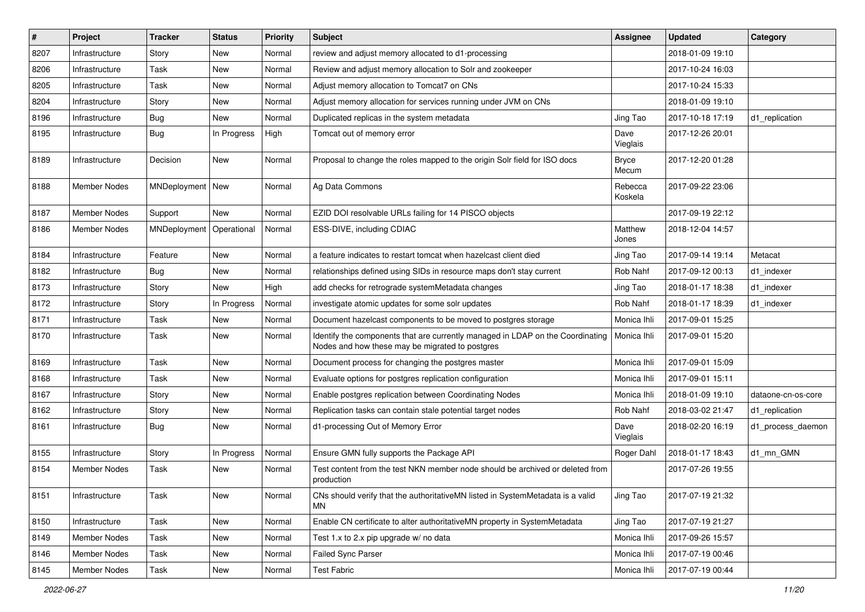| $\#$ | Project             | <b>Tracker</b>     | <b>Status</b> | <b>Priority</b> | Subject                                                                                                                           | <b>Assignee</b>       | <b>Updated</b>   | Category           |
|------|---------------------|--------------------|---------------|-----------------|-----------------------------------------------------------------------------------------------------------------------------------|-----------------------|------------------|--------------------|
| 8207 | Infrastructure      | Story              | New           | Normal          | review and adjust memory allocated to d1-processing                                                                               |                       | 2018-01-09 19:10 |                    |
| 8206 | Infrastructure      | Task               | <b>New</b>    | Normal          | Review and adjust memory allocation to Solr and zookeeper                                                                         |                       | 2017-10-24 16:03 |                    |
| 8205 | Infrastructure      | Task               | New           | Normal          | Adjust memory allocation to Tomcat7 on CNs                                                                                        |                       | 2017-10-24 15:33 |                    |
| 8204 | Infrastructure      | Story              | New           | Normal          | Adjust memory allocation for services running under JVM on CNs                                                                    |                       | 2018-01-09 19:10 |                    |
| 8196 | Infrastructure      | <b>Bug</b>         | <b>New</b>    | Normal          | Duplicated replicas in the system metadata                                                                                        | Jing Tao              | 2017-10-18 17:19 | d1_replication     |
| 8195 | Infrastructure      | <b>Bug</b>         | In Progress   | High            | Tomcat out of memory error                                                                                                        | Dave<br>Vieglais      | 2017-12-26 20:01 |                    |
| 8189 | Infrastructure      | Decision           | <b>New</b>    | Normal          | Proposal to change the roles mapped to the origin Solr field for ISO docs                                                         | <b>Bryce</b><br>Mecum | 2017-12-20 01:28 |                    |
| 8188 | <b>Member Nodes</b> | MNDeployment   New |               | Normal          | Ag Data Commons                                                                                                                   | Rebecca<br>Koskela    | 2017-09-22 23:06 |                    |
| 8187 | <b>Member Nodes</b> | Support            | New           | Normal          | EZID DOI resolvable URLs failing for 14 PISCO objects                                                                             |                       | 2017-09-19 22:12 |                    |
| 8186 | <b>Member Nodes</b> | MNDeployment       | Operational   | Normal          | ESS-DIVE, including CDIAC                                                                                                         | Matthew<br>Jones      | 2018-12-04 14:57 |                    |
| 8184 | Infrastructure      | Feature            | New           | Normal          | a feature indicates to restart tomcat when hazelcast client died                                                                  | Jing Tao              | 2017-09-14 19:14 | Metacat            |
| 8182 | Infrastructure      | <b>Bug</b>         | New           | Normal          | relationships defined using SIDs in resource maps don't stay current                                                              | Rob Nahf              | 2017-09-12 00:13 | d1 indexer         |
| 8173 | Infrastructure      | Story              | <b>New</b>    | High            | add checks for retrograde systemMetadata changes                                                                                  | Jing Tao              | 2018-01-17 18:38 | d1 indexer         |
| 8172 | Infrastructure      | Story              | In Progress   | Normal          | investigate atomic updates for some solr updates                                                                                  | Rob Nahf              | 2018-01-17 18:39 | d1 indexer         |
| 8171 | Infrastructure      | Task               | New           | Normal          | Document hazelcast components to be moved to postgres storage                                                                     | Monica Ihli           | 2017-09-01 15:25 |                    |
| 8170 | Infrastructure      | Task               | New           | Normal          | Identify the components that are currently managed in LDAP on the Coordinating<br>Nodes and how these may be migrated to postgres | Monica Ihli           | 2017-09-01 15:20 |                    |
| 8169 | Infrastructure      | Task               | <b>New</b>    | Normal          | Document process for changing the postgres master                                                                                 | Monica Ihli           | 2017-09-01 15:09 |                    |
| 8168 | Infrastructure      | Task               | New           | Normal          | Evaluate options for postgres replication configuration                                                                           | Monica Ihli           | 2017-09-01 15:11 |                    |
| 8167 | Infrastructure      | Story              | New           | Normal          | Enable postgres replication between Coordinating Nodes                                                                            | Monica Ihli           | 2018-01-09 19:10 | dataone-cn-os-core |
| 8162 | Infrastructure      | Story              | <b>New</b>    | Normal          | Replication tasks can contain stale potential target nodes                                                                        | Rob Nahf              | 2018-03-02 21:47 | d1_replication     |
| 8161 | Infrastructure      | <b>Bug</b>         | New           | Normal          | d1-processing Out of Memory Error                                                                                                 | Dave<br>Vieglais      | 2018-02-20 16:19 | d1 process daemon  |
| 8155 | Infrastructure      | Story              | In Progress   | Normal          | Ensure GMN fully supports the Package API                                                                                         | Roger Dahl            | 2018-01-17 18:43 | d1_mn_GMN          |
| 8154 | <b>Member Nodes</b> | Task               | <b>New</b>    | Normal          | Test content from the test NKN member node should be archived or deleted from<br>production                                       |                       | 2017-07-26 19:55 |                    |
| 8151 | Infrastructure      | Task               | New           | Normal          | CNs should verify that the authoritativeMN listed in SystemMetadata is a valid<br><b>MN</b>                                       | Jing Tao              | 2017-07-19 21:32 |                    |
| 8150 | Infrastructure      | Task               | New           | Normal          | Enable CN certificate to alter authoritativeMN property in SystemMetadata                                                         | Jing Tao              | 2017-07-19 21:27 |                    |
| 8149 | Member Nodes        | Task               | New           | Normal          | Test 1.x to 2.x pip upgrade w/ no data                                                                                            | Monica Ihli           | 2017-09-26 15:57 |                    |
| 8146 | Member Nodes        | Task               | New           | Normal          | Failed Sync Parser                                                                                                                | Monica Ihli           | 2017-07-19 00:46 |                    |
| 8145 | Member Nodes        | Task               | New           | Normal          | <b>Test Fabric</b>                                                                                                                | Monica Ihli           | 2017-07-19 00:44 |                    |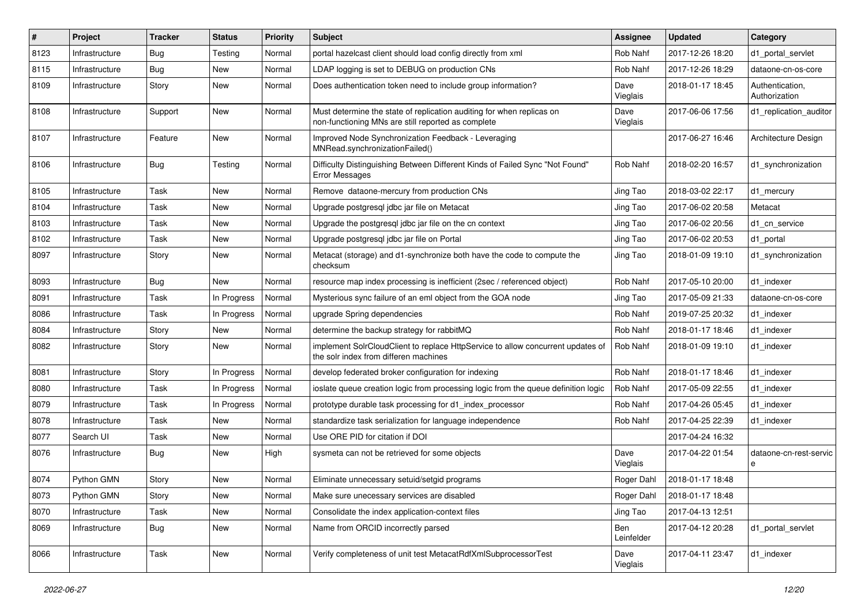| ∦    | Project        | <b>Tracker</b> | <b>Status</b> | <b>Priority</b> | <b>Subject</b>                                                                                                              | <b>Assignee</b>   | <b>Updated</b>   | Category                         |
|------|----------------|----------------|---------------|-----------------|-----------------------------------------------------------------------------------------------------------------------------|-------------------|------------------|----------------------------------|
| 8123 | Infrastructure | <b>Bug</b>     | Testing       | Normal          | portal hazelcast client should load config directly from xml                                                                | Rob Nahf          | 2017-12-26 18:20 | d1 portal servlet                |
| 8115 | Infrastructure | Bug            | New           | Normal          | LDAP logging is set to DEBUG on production CNs                                                                              | Rob Nahf          | 2017-12-26 18:29 | dataone-cn-os-core               |
| 8109 | Infrastructure | Story          | New           | Normal          | Does authentication token need to include group information?                                                                | Dave<br>Vieglais  | 2018-01-17 18:45 | Authentication,<br>Authorization |
| 8108 | Infrastructure | Support        | New           | Normal          | Must determine the state of replication auditing for when replicas on<br>non-functioning MNs are still reported as complete | Dave<br>Vieglais  | 2017-06-06 17:56 | d1_replication_auditor           |
| 8107 | Infrastructure | Feature        | New           | Normal          | Improved Node Synchronization Feedback - Leveraging<br>MNRead.synchronizationFailed()                                       |                   | 2017-06-27 16:46 | Architecture Design              |
| 8106 | Infrastructure | Bug            | Testing       | Normal          | Difficulty Distinguishing Between Different Kinds of Failed Sync "Not Found"<br><b>Error Messages</b>                       | Rob Nahf          | 2018-02-20 16:57 | d1_synchronization               |
| 8105 | Infrastructure | Task           | New           | Normal          | Remove dataone-mercury from production CNs                                                                                  | Jing Tao          | 2018-03-02 22:17 | d1 mercury                       |
| 8104 | Infrastructure | Task           | New           | Normal          | Upgrade postgresql jdbc jar file on Metacat                                                                                 | Jing Tao          | 2017-06-02 20:58 | Metacat                          |
| 8103 | Infrastructure | Task           | <b>New</b>    | Normal          | Upgrade the postgresql jdbc jar file on the cn context                                                                      | Jing Tao          | 2017-06-02 20:56 | d1 cn service                    |
| 8102 | Infrastructure | Task           | New           | Normal          | Upgrade postgresql jdbc jar file on Portal                                                                                  | Jing Tao          | 2017-06-02 20:53 | d1 portal                        |
| 8097 | Infrastructure | Story          | New           | Normal          | Metacat (storage) and d1-synchronize both have the code to compute the<br>checksum                                          | Jing Tao          | 2018-01-09 19:10 | d1 synchronization               |
| 8093 | Infrastructure | <b>Bug</b>     | <b>New</b>    | Normal          | resource map index processing is inefficient (2sec / referenced object)                                                     | Rob Nahf          | 2017-05-10 20:00 | d1 indexer                       |
| 8091 | Infrastructure | Task           | In Progress   | Normal          | Mysterious sync failure of an eml object from the GOA node                                                                  | Jing Tao          | 2017-05-09 21:33 | dataone-cn-os-core               |
| 8086 | Infrastructure | Task           | In Progress   | Normal          | upgrade Spring dependencies                                                                                                 | Rob Nahf          | 2019-07-25 20:32 | d1_indexer                       |
| 8084 | Infrastructure | Story          | New           | Normal          | determine the backup strategy for rabbitMQ                                                                                  | Rob Nahf          | 2018-01-17 18:46 | d1 indexer                       |
| 8082 | Infrastructure | Story          | New           | Normal          | implement SolrCloudClient to replace HttpService to allow concurrent updates of<br>the solr index from differen machines    | Rob Nahf          | 2018-01-09 19:10 | d1 indexer                       |
| 8081 | Infrastructure | Story          | In Progress   | Normal          | develop federated broker configuration for indexing                                                                         | Rob Nahf          | 2018-01-17 18:46 | d1 indexer                       |
| 8080 | Infrastructure | Task           | In Progress   | Normal          | ioslate queue creation logic from processing logic from the queue definition logic                                          | Rob Nahf          | 2017-05-09 22:55 | d1 indexer                       |
| 8079 | Infrastructure | Task           | In Progress   | Normal          | prototype durable task processing for d1_index_processor                                                                    | Rob Nahf          | 2017-04-26 05:45 | d1 indexer                       |
| 8078 | Infrastructure | Task           | <b>New</b>    | Normal          | standardize task serialization for language independence                                                                    | Rob Nahf          | 2017-04-25 22:39 | d1 indexer                       |
| 8077 | Search UI      | Task           | New           | Normal          | Use ORE PID for citation if DOI                                                                                             |                   | 2017-04-24 16:32 |                                  |
| 8076 | Infrastructure | Bug            | New           | High            | sysmeta can not be retrieved for some objects                                                                               | Dave<br>Vieglais  | 2017-04-22 01:54 | dataone-cn-rest-servic<br>е      |
| 8074 | Python GMN     | Story          | New           | Normal          | Eliminate unnecessary setuid/setgid programs                                                                                | Roger Dahl        | 2018-01-17 18:48 |                                  |
| 8073 | Python GMN     | Story          | New           | Normal          | Make sure unecessary services are disabled                                                                                  | Roger Dahl        | 2018-01-17 18:48 |                                  |
| 8070 | Infrastructure | Task           | New           | Normal          | Consolidate the index application-context files                                                                             | Jing Tao          | 2017-04-13 12:51 |                                  |
| 8069 | Infrastructure | <b>Bug</b>     | New           | Normal          | Name from ORCID incorrectly parsed                                                                                          | Ben<br>Leinfelder | 2017-04-12 20:28 | d1_portal_servlet                |
| 8066 | Infrastructure | Task           | New           | Normal          | Verify completeness of unit test MetacatRdfXmlSubprocessorTest                                                              | Dave<br>Vieglais  | 2017-04-11 23:47 | d1_indexer                       |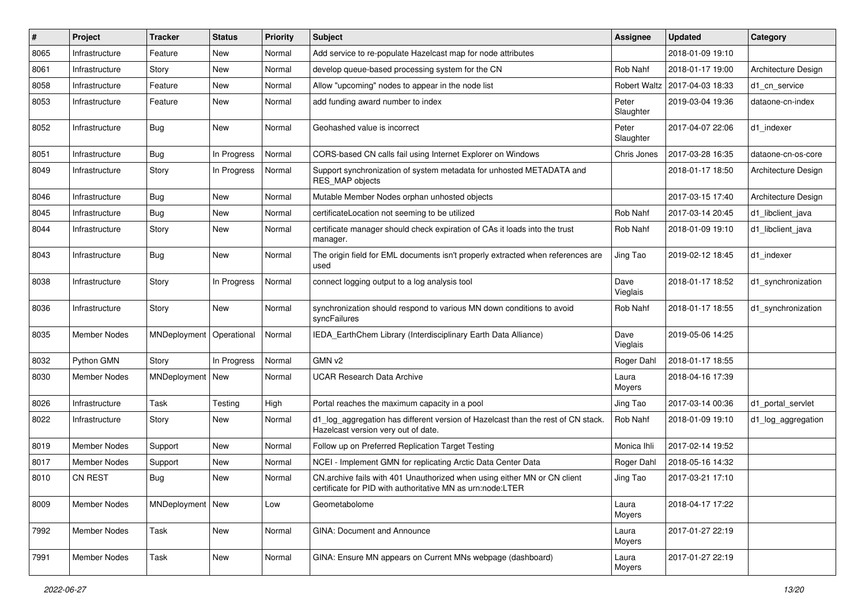| $\#$ | Project             | <b>Tracker</b>             | <b>Status</b> | <b>Priority</b> | Subject                                                                                                                                | <b>Assignee</b>    | <b>Updated</b>   | Category            |
|------|---------------------|----------------------------|---------------|-----------------|----------------------------------------------------------------------------------------------------------------------------------------|--------------------|------------------|---------------------|
| 8065 | Infrastructure      | Feature                    | New           | Normal          | Add service to re-populate Hazelcast map for node attributes                                                                           |                    | 2018-01-09 19:10 |                     |
| 8061 | Infrastructure      | Story                      | <b>New</b>    | Normal          | develop queue-based processing system for the CN                                                                                       | Rob Nahf           | 2018-01-17 19:00 | Architecture Design |
| 8058 | Infrastructure      | Feature                    | New           | Normal          | Allow "upcoming" nodes to appear in the node list                                                                                      | Robert Waltz       | 2017-04-03 18:33 | d1 cn service       |
| 8053 | Infrastructure      | Feature                    | New           | Normal          | add funding award number to index                                                                                                      | Peter<br>Slaughter | 2019-03-04 19:36 | dataone-cn-index    |
| 8052 | Infrastructure      | <b>Bug</b>                 | New           | Normal          | Geohashed value is incorrect                                                                                                           | Peter<br>Slaughter | 2017-04-07 22:06 | d1_indexer          |
| 8051 | Infrastructure      | Bug                        | In Progress   | Normal          | CORS-based CN calls fail using Internet Explorer on Windows                                                                            | Chris Jones        | 2017-03-28 16:35 | dataone-cn-os-core  |
| 8049 | Infrastructure      | Story                      | In Progress   | Normal          | Support synchronization of system metadata for unhosted METADATA and<br>RES MAP objects                                                |                    | 2018-01-17 18:50 | Architecture Design |
| 8046 | Infrastructure      | <b>Bug</b>                 | New           | Normal          | Mutable Member Nodes orphan unhosted objects                                                                                           |                    | 2017-03-15 17:40 | Architecture Design |
| 8045 | Infrastructure      | Bug                        | New           | Normal          | certificateLocation not seeming to be utilized                                                                                         | Rob Nahf           | 2017-03-14 20:45 | d1_libclient_java   |
| 8044 | Infrastructure      | Story                      | New           | Normal          | certificate manager should check expiration of CAs it loads into the trust<br>manager.                                                 | Rob Nahf           | 2018-01-09 19:10 | d1 libclient java   |
| 8043 | Infrastructure      | <b>Bug</b>                 | New           | Normal          | The origin field for EML documents isn't properly extracted when references are<br>used                                                | Jing Tao           | 2019-02-12 18:45 | d1 indexer          |
| 8038 | Infrastructure      | Story                      | In Progress   | Normal          | connect logging output to a log analysis tool                                                                                          | Dave<br>Vieglais   | 2018-01-17 18:52 | d1_synchronization  |
| 8036 | Infrastructure      | Story                      | New           | Normal          | synchronization should respond to various MN down conditions to avoid<br>syncFailures                                                  | Rob Nahf           | 2018-01-17 18:55 | d1_synchronization  |
| 8035 | <b>Member Nodes</b> | MNDeployment   Operational |               | Normal          | IEDA EarthChem Library (Interdisciplinary Earth Data Alliance)                                                                         | Dave<br>Vieglais   | 2019-05-06 14:25 |                     |
| 8032 | Python GMN          | Story                      | In Progress   | Normal          | GMN v2                                                                                                                                 | Roger Dahl         | 2018-01-17 18:55 |                     |
| 8030 | <b>Member Nodes</b> | MNDeployment   New         |               | Normal          | <b>UCAR Research Data Archive</b>                                                                                                      | Laura<br>Moyers    | 2018-04-16 17:39 |                     |
| 8026 | Infrastructure      | Task                       | Testing       | High            | Portal reaches the maximum capacity in a pool                                                                                          | Jing Tao           | 2017-03-14 00:36 | d1 portal servlet   |
| 8022 | Infrastructure      | Story                      | New           | Normal          | d1_log_aggregation has different version of Hazelcast than the rest of CN stack.<br>Hazelcast version very out of date.                | Rob Nahf           | 2018-01-09 19:10 | d1_log_aggregation  |
| 8019 | <b>Member Nodes</b> | Support                    | <b>New</b>    | Normal          | Follow up on Preferred Replication Target Testing                                                                                      | Monica Ihli        | 2017-02-14 19:52 |                     |
| 8017 | <b>Member Nodes</b> | Support                    | New           | Normal          | NCEI - Implement GMN for replicating Arctic Data Center Data                                                                           | Roger Dahl         | 2018-05-16 14:32 |                     |
| 8010 | <b>CN REST</b>      | Bug                        | New           | Normal          | CN.archive fails with 401 Unauthorized when using either MN or CN client<br>certificate for PID with authoritative MN as urn:node:LTER | Jing Tao           | 2017-03-21 17:10 |                     |
| 8009 | Member Nodes        | MNDeployment   New         |               | Low             | Geometabolome                                                                                                                          | Laura<br>Moyers    | 2018-04-17 17:22 |                     |
| 7992 | Member Nodes        | Task                       | New           | Normal          | GINA: Document and Announce                                                                                                            | Laura<br>Moyers    | 2017-01-27 22:19 |                     |
| 7991 | Member Nodes        | Task                       | New           | Normal          | GINA: Ensure MN appears on Current MNs webpage (dashboard)                                                                             | Laura<br>Moyers    | 2017-01-27 22:19 |                     |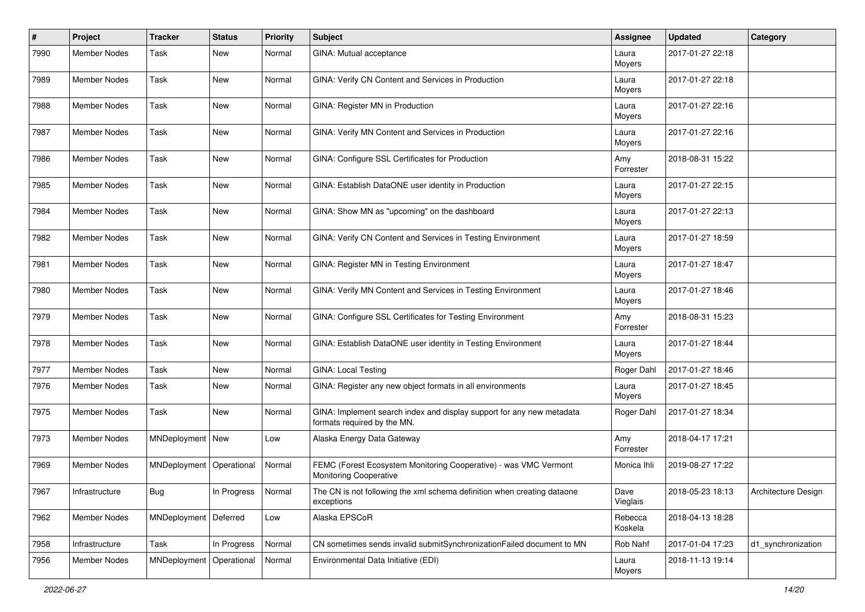| $\pmb{\#}$ | <b>Project</b>      | <b>Tracker</b>             | <b>Status</b>      | <b>Priority</b> | <b>Subject</b>                                                                                       | <b>Assignee</b>    | <b>Updated</b>   | Category            |
|------------|---------------------|----------------------------|--------------------|-----------------|------------------------------------------------------------------------------------------------------|--------------------|------------------|---------------------|
| 7990       | Member Nodes        | Task                       | New                | Normal          | GINA: Mutual acceptance                                                                              | Laura<br>Moyers    | 2017-01-27 22:18 |                     |
| 7989       | Member Nodes        | Task                       | New                | Normal          | GINA: Verify CN Content and Services in Production                                                   | Laura<br>Moyers    | 2017-01-27 22:18 |                     |
| 7988       | Member Nodes        | Task                       | <b>New</b>         | Normal          | GINA: Register MN in Production                                                                      | Laura<br>Moyers    | 2017-01-27 22:16 |                     |
| 7987       | <b>Member Nodes</b> | Task                       | <b>New</b>         | Normal          | GINA: Verify MN Content and Services in Production                                                   | Laura<br>Moyers    | 2017-01-27 22:16 |                     |
| 7986       | Member Nodes        | Task                       | New                | Normal          | GINA: Configure SSL Certificates for Production                                                      | Amy<br>Forrester   | 2018-08-31 15:22 |                     |
| 7985       | Member Nodes        | Task                       | New                | Normal          | GINA: Establish DataONE user identity in Production                                                  | Laura<br>Moyers    | 2017-01-27 22:15 |                     |
| 7984       | Member Nodes        | Task                       | New                | Normal          | GINA: Show MN as "upcoming" on the dashboard                                                         | Laura<br>Moyers    | 2017-01-27 22:13 |                     |
| 7982       | Member Nodes        | Task                       | New                | Normal          | GINA: Verify CN Content and Services in Testing Environment                                          | Laura<br>Moyers    | 2017-01-27 18:59 |                     |
| 7981       | Member Nodes        | Task                       | New                | Normal          | GINA: Register MN in Testing Environment                                                             | Laura<br>Moyers    | 2017-01-27 18:47 |                     |
| 7980       | <b>Member Nodes</b> | Task                       | New                | Normal          | GINA: Verify MN Content and Services in Testing Environment                                          | Laura<br>Moyers    | 2017-01-27 18:46 |                     |
| 7979       | Member Nodes        | Task                       | <b>New</b>         | Normal          | GINA: Configure SSL Certificates for Testing Environment                                             | Amy<br>Forrester   | 2018-08-31 15:23 |                     |
| 7978       | Member Nodes        | Task                       | New                | Normal          | GINA: Establish DataONE user identity in Testing Environment                                         | Laura<br>Moyers    | 2017-01-27 18:44 |                     |
| 7977       | Member Nodes        | Task                       | New                | Normal          | <b>GINA: Local Testing</b>                                                                           | Roger Dahl         | 2017-01-27 18:46 |                     |
| 7976       | Member Nodes        | Task                       | New                | Normal          | GINA: Register any new object formats in all environments                                            | Laura<br>Moyers    | 2017-01-27 18:45 |                     |
| 7975       | Member Nodes        | Task                       | New                | Normal          | GINA: Implement search index and display support for any new metadata<br>formats required by the MN. | Roger Dahl         | 2017-01-27 18:34 |                     |
| 7973       | Member Nodes        | MNDeployment   New         |                    | Low             | Alaska Energy Data Gateway                                                                           | Amy<br>Forrester   | 2018-04-17 17:21 |                     |
| 7969       | Member Nodes        | MNDeployment   Operational |                    | Normal          | FEMC (Forest Ecosystem Monitoring Cooperative) - was VMC Vermont<br>Monitoring Cooperative           | Monica Ihli        | 2019-08-27 17:22 |                     |
| 7967       | Infrastructure      | <b>Bug</b>                 | In Progress Normal |                 | The CN is not following the xml schema definition when creating dataone<br>exceptions                | Dave<br>Vieglais   | 2018-05-23 18:13 | Architecture Design |
| 7962       | Member Nodes        | MNDeployment   Deferred    |                    | Low             | Alaska EPSCoR                                                                                        | Rebecca<br>Koskela | 2018-04-13 18:28 |                     |
| 7958       | Infrastructure      | Task                       | In Progress        | Normal          | CN sometimes sends invalid submitSynchronizationFailed document to MN                                | Rob Nahf           | 2017-01-04 17:23 | d1_synchronization  |
| 7956       | Member Nodes        | MNDeployment               | Operational        | Normal          | Environmental Data Initiative (EDI)                                                                  | Laura<br>Moyers    | 2018-11-13 19:14 |                     |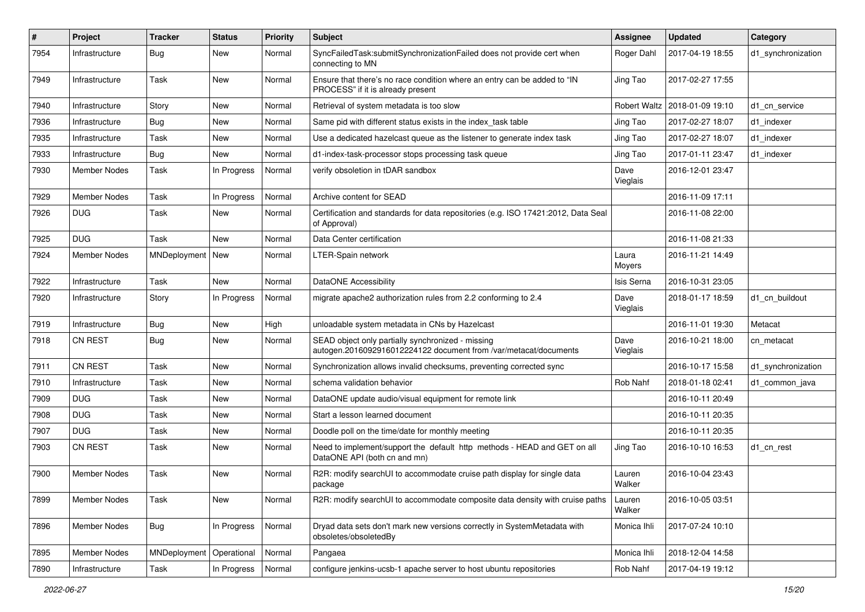| $\#$ | Project             | <b>Tracker</b>     | <b>Status</b> | <b>Priority</b> | <b>Subject</b>                                                                                                        | <b>Assignee</b>  | <b>Updated</b>   | Category           |
|------|---------------------|--------------------|---------------|-----------------|-----------------------------------------------------------------------------------------------------------------------|------------------|------------------|--------------------|
| 7954 | Infrastructure      | <b>Bug</b>         | New           | Normal          | SyncFailedTask:submitSynchronizationFailed does not provide cert when<br>connecting to MN                             | Roger Dahl       | 2017-04-19 18:55 | d1_synchronization |
| 7949 | Infrastructure      | Task               | New           | Normal          | Ensure that there's no race condition where an entry can be added to "IN<br>PROCESS" if it is already present         | Jing Tao         | 2017-02-27 17:55 |                    |
| 7940 | Infrastructure      | Story              | <b>New</b>    | Normal          | Retrieval of system metadata is too slow                                                                              | Robert Waltz     | 2018-01-09 19:10 | d1 cn service      |
| 7936 | Infrastructure      | <b>Bug</b>         | New           | Normal          | Same pid with different status exists in the index task table                                                         | Jing Tao         | 2017-02-27 18:07 | d1 indexer         |
| 7935 | Infrastructure      | Task               | New           | Normal          | Use a dedicated hazelcast queue as the listener to generate index task                                                | Jing Tao         | 2017-02-27 18:07 | d1_indexer         |
| 7933 | Infrastructure      | <b>Bug</b>         | <b>New</b>    | Normal          | d1-index-task-processor stops processing task queue                                                                   | Jing Tao         | 2017-01-11 23:47 | d1 indexer         |
| 7930 | Member Nodes        | Task               | In Progress   | Normal          | verify obsoletion in tDAR sandbox                                                                                     | Dave<br>Vieglais | 2016-12-01 23:47 |                    |
| 7929 | Member Nodes        | Task               | In Progress   | Normal          | Archive content for SEAD                                                                                              |                  | 2016-11-09 17:11 |                    |
| 7926 | <b>DUG</b>          | Task               | New           | Normal          | Certification and standards for data repositories (e.g. ISO 17421:2012, Data Seal<br>of Approval)                     |                  | 2016-11-08 22:00 |                    |
| 7925 | <b>DUG</b>          | Task               | <b>New</b>    | Normal          | Data Center certification                                                                                             |                  | 2016-11-08 21:33 |                    |
| 7924 | Member Nodes        | MNDeployment   New |               | Normal          | <b>LTER-Spain network</b>                                                                                             | Laura<br>Moyers  | 2016-11-21 14:49 |                    |
| 7922 | Infrastructure      | Task               | <b>New</b>    | Normal          | <b>DataONE Accessibility</b>                                                                                          | Isis Serna       | 2016-10-31 23:05 |                    |
| 7920 | Infrastructure      | Story              | In Progress   | Normal          | migrate apache2 authorization rules from 2.2 conforming to 2.4                                                        | Dave<br>Vieglais | 2018-01-17 18:59 | d1_cn_buildout     |
| 7919 | Infrastructure      | <b>Bug</b>         | <b>New</b>    | High            | unloadable system metadata in CNs by Hazelcast                                                                        |                  | 2016-11-01 19:30 | Metacat            |
| 7918 | <b>CN REST</b>      | <b>Bug</b>         | New           | Normal          | SEAD object only partially synchronized - missing<br>autogen.2016092916012224122 document from /var/metacat/documents | Dave<br>Vieglais | 2016-10-21 18:00 | cn metacat         |
| 7911 | CN REST             | Task               | <b>New</b>    | Normal          | Synchronization allows invalid checksums, preventing corrected sync                                                   |                  | 2016-10-17 15:58 | d1_synchronization |
| 7910 | Infrastructure      | Task               | <b>New</b>    | Normal          | schema validation behavior                                                                                            | Rob Nahf         | 2018-01-18 02:41 | d1_common_java     |
| 7909 | <b>DUG</b>          | Task               | <b>New</b>    | Normal          | DataONE update audio/visual equipment for remote link                                                                 |                  | 2016-10-11 20:49 |                    |
| 7908 | <b>DUG</b>          | Task               | <b>New</b>    | Normal          | Start a lesson learned document                                                                                       |                  | 2016-10-11 20:35 |                    |
| 7907 | <b>DUG</b>          | Task               | New           | Normal          | Doodle poll on the time/date for monthly meeting                                                                      |                  | 2016-10-11 20:35 |                    |
| 7903 | <b>CN REST</b>      | Task               | New           | Normal          | Need to implement/support the default http methods - HEAD and GET on all<br>DataONE API (both cn and mn)              | Jing Tao         | 2016-10-10 16:53 | d1 cn rest         |
| 7900 | <b>Member Nodes</b> | Task               | <b>New</b>    | Normal          | R2R: modify searchUI to accommodate cruise path display for single data<br>package                                    | Lauren<br>Walker | 2016-10-04 23:43 |                    |
| 7899 | Member Nodes        | Task               | New           | Normal          | R2R: modify searchUI to accommodate composite data density with cruise paths                                          | Lauren<br>Walker | 2016-10-05 03:51 |                    |
| 7896 | Member Nodes        | Bug                | In Progress   | Normal          | Dryad data sets don't mark new versions correctly in SystemMetadata with<br>obsoletes/obsoletedBy                     | Monica Ihli      | 2017-07-24 10:10 |                    |
| 7895 | Member Nodes        | MNDeployment       | Operational   | Normal          | Pangaea                                                                                                               | Monica Ihli      | 2018-12-04 14:58 |                    |
| 7890 | Infrastructure      | Task               | In Progress   | Normal          | configure jenkins-ucsb-1 apache server to host ubuntu repositories                                                    | Rob Nahf         | 2017-04-19 19:12 |                    |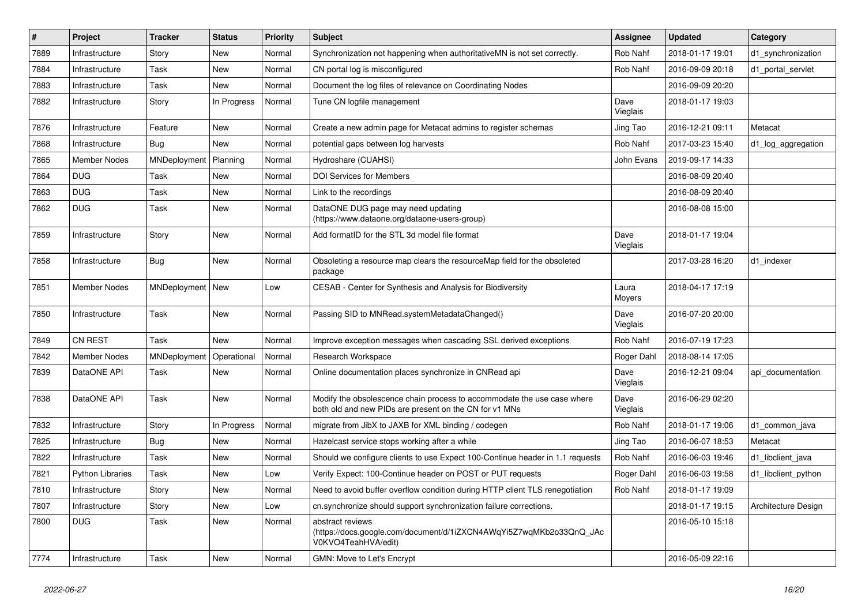| $\#$ | Project                 | <b>Tracker</b>     | <b>Status</b> | <b>Priority</b> | <b>Subject</b>                                                                                                                    | <b>Assignee</b>  | <b>Updated</b>   | Category            |
|------|-------------------------|--------------------|---------------|-----------------|-----------------------------------------------------------------------------------------------------------------------------------|------------------|------------------|---------------------|
| 7889 | Infrastructure          | Story              | New           | Normal          | Synchronization not happening when authoritativeMN is not set correctly.                                                          | Rob Nahf         | 2018-01-17 19:01 | d1 synchronization  |
| 7884 | Infrastructure          | Task               | <b>New</b>    | Normal          | CN portal log is misconfigured                                                                                                    | Rob Nahf         | 2016-09-09 20:18 | d1 portal servlet   |
| 7883 | Infrastructure          | Task               | New           | Normal          | Document the log files of relevance on Coordinating Nodes                                                                         |                  | 2016-09-09 20:20 |                     |
| 7882 | Infrastructure          | Story              | In Progress   | Normal          | Tune CN logfile management                                                                                                        | Dave<br>Vieglais | 2018-01-17 19:03 |                     |
| 7876 | Infrastructure          | Feature            | New           | Normal          | Create a new admin page for Metacat admins to register schemas                                                                    | Jing Tao         | 2016-12-21 09:11 | Metacat             |
| 7868 | Infrastructure          | Bug                | New           | Normal          | potential gaps between log harvests                                                                                               | Rob Nahf         | 2017-03-23 15:40 | d1_log_aggregation  |
| 7865 | <b>Member Nodes</b>     | MNDeployment       | Planning      | Normal          | Hydroshare (CUAHSI)                                                                                                               | John Evans       | 2019-09-17 14:33 |                     |
| 7864 | <b>DUG</b>              | Task               | New           | Normal          | <b>DOI Services for Members</b>                                                                                                   |                  | 2016-08-09 20:40 |                     |
| 7863 | <b>DUG</b>              | Task               | New           | Normal          | Link to the recordings                                                                                                            |                  | 2016-08-09 20:40 |                     |
| 7862 | <b>DUG</b>              | Task               | New           | Normal          | DataONE DUG page may need updating<br>(https://www.dataone.org/dataone-users-group)                                               |                  | 2016-08-08 15:00 |                     |
| 7859 | Infrastructure          | Story              | <b>New</b>    | Normal          | Add formatID for the STL 3d model file format                                                                                     | Dave<br>Vieglais | 2018-01-17 19:04 |                     |
| 7858 | Infrastructure          | Bug                | New           | Normal          | Obsoleting a resource map clears the resourceMap field for the obsoleted<br>package                                               |                  | 2017-03-28 16:20 | d1 indexer          |
| 7851 | <b>Member Nodes</b>     | MNDeployment   New |               | Low             | CESAB - Center for Synthesis and Analysis for Biodiversity                                                                        | Laura<br>Moyers  | 2018-04-17 17:19 |                     |
| 7850 | Infrastructure          | Task               | New           | Normal          | Passing SID to MNRead.systemMetadataChanged()                                                                                     | Dave<br>Vieglais | 2016-07-20 20:00 |                     |
| 7849 | CN REST                 | Task               | New           | Normal          | Improve exception messages when cascading SSL derived exceptions                                                                  | Rob Nahf         | 2016-07-19 17:23 |                     |
| 7842 | <b>Member Nodes</b>     | MNDeployment       | Operational   | Normal          | Research Workspace                                                                                                                | Roger Dahl       | 2018-08-14 17:05 |                     |
| 7839 | DataONE API             | Task               | New           | Normal          | Online documentation places synchronize in CNRead api                                                                             | Dave<br>Vieglais | 2016-12-21 09:04 | api documentation   |
| 7838 | DataONE API             | Task               | <b>New</b>    | Normal          | Modify the obsolescence chain process to accommodate the use case where<br>both old and new PIDs are present on the CN for v1 MNs | Dave<br>Vieglais | 2016-06-29 02:20 |                     |
| 7832 | Infrastructure          | Story              | In Progress   | Normal          | migrate from JibX to JAXB for XML binding / codegen                                                                               | Rob Nahf         | 2018-01-17 19:06 | d1 common java      |
| 7825 | Infrastructure          | <b>Bug</b>         | New           | Normal          | Hazelcast service stops working after a while                                                                                     | Jing Tao         | 2016-06-07 18:53 | Metacat             |
| 7822 | Infrastructure          | Task               | <b>New</b>    | Normal          | Should we configure clients to use Expect 100-Continue header in 1.1 requests                                                     | Rob Nahf         | 2016-06-03 19:46 | d1 libclient java   |
| 7821 | <b>Python Libraries</b> | Task               | New           | Low             | Verify Expect: 100-Continue header on POST or PUT requests                                                                        | Roger Dahl       | 2016-06-03 19:58 | d1_libclient_python |
| 7810 | Infrastructure          | Story              | New           | Normal          | Need to avoid buffer overflow condition during HTTP client TLS renegotiation                                                      | Rob Nahf         | 2018-01-17 19:09 |                     |
| 7807 | Infrastructure          | Story              | New           | Low             | cn.synchronize should support synchronization failure corrections.                                                                |                  | 2018-01-17 19:15 | Architecture Design |
| 7800 | <b>DUG</b>              | Task               | New           | Normal          | abstract reviews<br>(https://docs.google.com/document/d/1iZXCN4AWqYi5Z7wqMKb2o33QnQ_JAc<br>V0KVO4TeahHVA/edit)                    |                  | 2016-05-10 15:18 |                     |
| 7774 | Infrastructure          | Task               | New           | Normal          | GMN: Move to Let's Encrypt                                                                                                        |                  | 2016-05-09 22:16 |                     |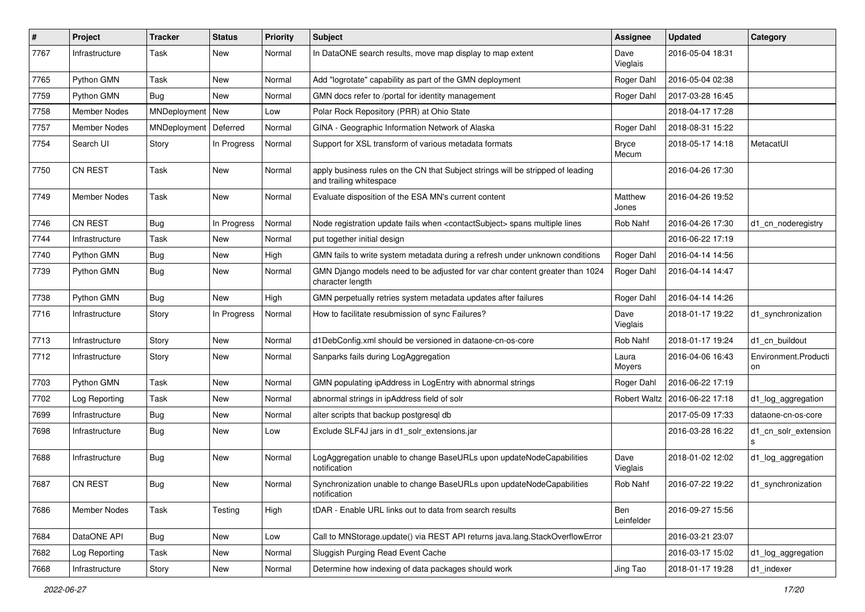| $\sharp$ | Project             | <b>Tracker</b>     | <b>Status</b> | <b>Priority</b> | Subject                                                                                                    | <b>Assignee</b>       | <b>Updated</b>   | Category                   |
|----------|---------------------|--------------------|---------------|-----------------|------------------------------------------------------------------------------------------------------------|-----------------------|------------------|----------------------------|
| 7767     | Infrastructure      | Task               | New           | Normal          | In DataONE search results, move map display to map extent                                                  | Dave<br>Vieglais      | 2016-05-04 18:31 |                            |
| 7765     | Python GMN          | Task               | New           | Normal          | Add "logrotate" capability as part of the GMN deployment                                                   | Roger Dahl            | 2016-05-04 02:38 |                            |
| 7759     | Python GMN          | Bug                | New           | Normal          | GMN docs refer to /portal for identity management                                                          | Roger Dahl            | 2017-03-28 16:45 |                            |
| 7758     | <b>Member Nodes</b> | MNDeployment   New |               | Low             | Polar Rock Repository (PRR) at Ohio State                                                                  |                       | 2018-04-17 17:28 |                            |
| 7757     | <b>Member Nodes</b> | MNDeployment       | Deferred      | Normal          | GINA - Geographic Information Network of Alaska                                                            | Roger Dahl            | 2018-08-31 15:22 |                            |
| 7754     | Search UI           | Story              | In Progress   | Normal          | Support for XSL transform of various metadata formats                                                      | <b>Bryce</b><br>Mecum | 2018-05-17 14:18 | MetacatUI                  |
| 7750     | <b>CN REST</b>      | Task               | <b>New</b>    | Normal          | apply business rules on the CN that Subject strings will be stripped of leading<br>and trailing whitespace |                       | 2016-04-26 17:30 |                            |
| 7749     | Member Nodes        | Task               | New           | Normal          | Evaluate disposition of the ESA MN's current content                                                       | Matthew<br>Jones      | 2016-04-26 19:52 |                            |
| 7746     | CN REST             | <b>Bug</b>         | In Progress   | Normal          | Node registration update fails when <contactsubject> spans multiple lines</contactsubject>                 | Rob Nahf              | 2016-04-26 17:30 | d1 cn noderegistry         |
| 7744     | Infrastructure      | Task               | New           | Normal          | put together initial design                                                                                |                       | 2016-06-22 17:19 |                            |
| 7740     | Python GMN          | Bug                | New           | High            | GMN fails to write system metadata during a refresh under unknown conditions                               | Roger Dahl            | 2016-04-14 14:56 |                            |
| 7739     | Python GMN          | Bug                | New           | Normal          | GMN Django models need to be adjusted for var char content greater than 1024<br>character length           | Roger Dahl            | 2016-04-14 14:47 |                            |
| 7738     | Python GMN          | Bug                | <b>New</b>    | High            | GMN perpetually retries system metadata updates after failures                                             | Roger Dahl            | 2016-04-14 14:26 |                            |
| 7716     | Infrastructure      | Story              | In Progress   | Normal          | How to facilitate resubmission of sync Failures?                                                           | Dave<br>Vieglais      | 2018-01-17 19:22 | d1_synchronization         |
| 7713     | Infrastructure      | Story              | <b>New</b>    | Normal          | d1DebConfig.xml should be versioned in dataone-cn-os-core                                                  | Rob Nahf              | 2018-01-17 19:24 | d1_cn_buildout             |
| 7712     | Infrastructure      | Story              | New           | Normal          | Sanparks fails during LogAggregation                                                                       | Laura<br>Moyers       | 2016-04-06 16:43 | Environment.Producti<br>on |
| 7703     | Python GMN          | Task               | <b>New</b>    | Normal          | GMN populating ipAddress in LogEntry with abnormal strings                                                 | Roger Dahl            | 2016-06-22 17:19 |                            |
| 7702     | Log Reporting       | Task               | <b>New</b>    | Normal          | abnormal strings in ipAddress field of solr                                                                | Robert Waltz          | 2016-06-22 17:18 | d1_log_aggregation         |
| 7699     | Infrastructure      | <b>Bug</b>         | <b>New</b>    | Normal          | alter scripts that backup postgresql db                                                                    |                       | 2017-05-09 17:33 | dataone-cn-os-core         |
| 7698     | Infrastructure      | <b>Bug</b>         | New           | Low             | Exclude SLF4J jars in d1_solr_extensions.jar                                                               |                       | 2016-03-28 16:22 | d1_cn_solr_extension<br>s  |
| 7688     | Infrastructure      | <b>Bug</b>         | <b>New</b>    | Normal          | LogAggregation unable to change BaseURLs upon updateNodeCapabilities<br>notification                       | Dave<br>Vieglais      | 2018-01-02 12:02 | d1_log_aggregation         |
| 7687     | <b>CN REST</b>      | Bug                | New           | Normal          | Synchronization unable to change BaseURLs upon updateNodeCapabilities<br>notification                      | Rob Nahf              | 2016-07-22 19:22 | d1 synchronization         |
| 7686     | Member Nodes        | Task               | Testing       | High            | tDAR - Enable URL links out to data from search results                                                    | Ben<br>Leinfelder     | 2016-09-27 15:56 |                            |
| 7684     | DataONE API         | <b>Bug</b>         | New           | Low             | Call to MNStorage.update() via REST API returns java.lang.StackOverflowError                               |                       | 2016-03-21 23:07 |                            |
| 7682     | Log Reporting       | Task               | New           | Normal          | Sluggish Purging Read Event Cache                                                                          |                       | 2016-03-17 15:02 | d1_log_aggregation         |
| 7668     | Infrastructure      | Story              | New           | Normal          | Determine how indexing of data packages should work                                                        | Jing Tao              | 2018-01-17 19:28 | d1_indexer                 |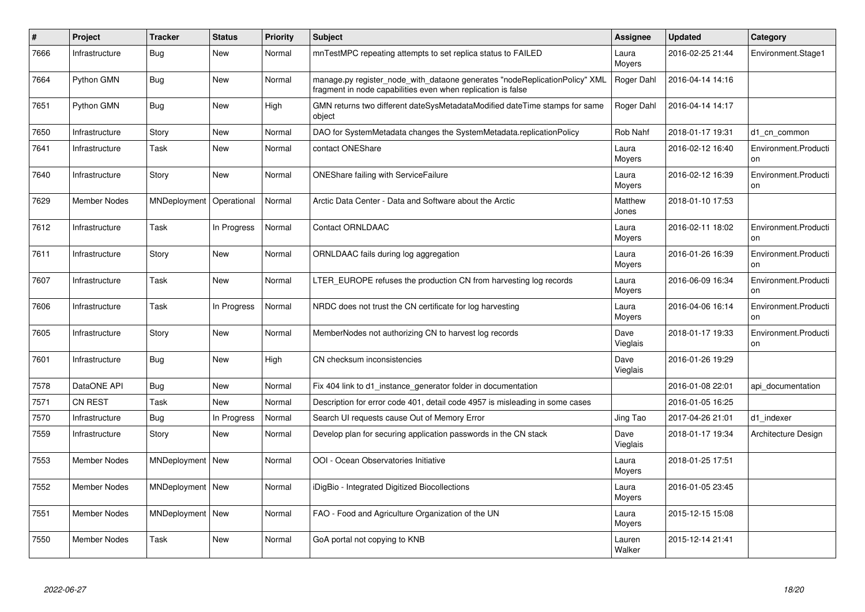| $\#$ | Project             | <b>Tracker</b>     | <b>Status</b> | <b>Priority</b> | <b>Subject</b>                                                                                                                             | <b>Assignee</b>  | <b>Updated</b>   | Category                   |
|------|---------------------|--------------------|---------------|-----------------|--------------------------------------------------------------------------------------------------------------------------------------------|------------------|------------------|----------------------------|
| 7666 | Infrastructure      | <b>Bug</b>         | <b>New</b>    | Normal          | mnTestMPC repeating attempts to set replica status to FAILED                                                                               | Laura<br>Moyers  | 2016-02-25 21:44 | Environment.Stage1         |
| 7664 | Python GMN          | <b>Bug</b>         | <b>New</b>    | Normal          | manage.py register node with dataone generates "nodeReplicationPolicy" XML<br>fragment in node capabilities even when replication is false | Roger Dahl       | 2016-04-14 14:16 |                            |
| 7651 | Python GMN          | Bug                | <b>New</b>    | High            | GMN returns two different dateSysMetadataModified dateTime stamps for same<br>object                                                       | Roger Dahl       | 2016-04-14 14:17 |                            |
| 7650 | Infrastructure      | Story              | New           | Normal          | DAO for SystemMetadata changes the SystemMetadata.replicationPolicy                                                                        | Rob Nahf         | 2018-01-17 19:31 | d1 cn common               |
| 7641 | Infrastructure      | Task               | <b>New</b>    | Normal          | contact ONEShare                                                                                                                           | Laura<br>Moyers  | 2016-02-12 16:40 | Environment.Producti<br>on |
| 7640 | Infrastructure      | Story              | <b>New</b>    | Normal          | <b>ONEShare failing with ServiceFailure</b>                                                                                                | Laura<br>Moyers  | 2016-02-12 16:39 | Environment.Producti<br>on |
| 7629 | <b>Member Nodes</b> | MNDeployment       | Operational   | Normal          | Arctic Data Center - Data and Software about the Arctic                                                                                    | Matthew<br>Jones | 2018-01-10 17:53 |                            |
| 7612 | Infrastructure      | Task               | In Progress   | Normal          | Contact ORNLDAAC                                                                                                                           | Laura<br>Moyers  | 2016-02-11 18:02 | Environment.Producti<br>on |
| 7611 | Infrastructure      | Story              | New           | Normal          | ORNLDAAC fails during log aggregation                                                                                                      | Laura<br>Moyers  | 2016-01-26 16:39 | Environment.Producti<br>on |
| 7607 | Infrastructure      | Task               | <b>New</b>    | Normal          | LTER_EUROPE refuses the production CN from harvesting log records                                                                          | Laura<br>Moyers  | 2016-06-09 16:34 | Environment.Producti<br>on |
| 7606 | Infrastructure      | Task               | In Progress   | Normal          | NRDC does not trust the CN certificate for log harvesting                                                                                  | Laura<br>Moyers  | 2016-04-06 16:14 | Environment.Producti<br>on |
| 7605 | Infrastructure      | Story              | <b>New</b>    | Normal          | MemberNodes not authorizing CN to harvest log records                                                                                      | Dave<br>Vieglais | 2018-01-17 19:33 | Environment.Producti<br>on |
| 7601 | Infrastructure      | <b>Bug</b>         | <b>New</b>    | High            | CN checksum inconsistencies                                                                                                                | Dave<br>Vieglais | 2016-01-26 19:29 |                            |
| 7578 | DataONE API         | <b>Bug</b>         | <b>New</b>    | Normal          | Fix 404 link to d1_instance_generator folder in documentation                                                                              |                  | 2016-01-08 22:01 | api documentation          |
| 7571 | <b>CN REST</b>      | Task               | <b>New</b>    | Normal          | Description for error code 401, detail code 4957 is misleading in some cases                                                               |                  | 2016-01-05 16:25 |                            |
| 7570 | Infrastructure      | <b>Bug</b>         | In Progress   | Normal          | Search UI requests cause Out of Memory Error                                                                                               | Jing Tao         | 2017-04-26 21:01 | d1 indexer                 |
| 7559 | Infrastructure      | Story              | <b>New</b>    | Normal          | Develop plan for securing application passwords in the CN stack                                                                            | Dave<br>Vieglais | 2018-01-17 19:34 | Architecture Design        |
| 7553 | <b>Member Nodes</b> | MNDeployment   New |               | Normal          | OOI - Ocean Observatories Initiative                                                                                                       | Laura<br>Moyers  | 2018-01-25 17:51 |                            |
| 7552 | <b>Member Nodes</b> | MNDeployment   New |               | Normal          | iDigBio - Integrated Digitized Biocollections                                                                                              | Laura<br>Moyers  | 2016-01-05 23:45 |                            |
| 7551 | <b>Member Nodes</b> | MNDeployment   New |               | Normal          | FAO - Food and Agriculture Organization of the UN                                                                                          | Laura<br>Moyers  | 2015-12-15 15:08 |                            |
| 7550 | <b>Member Nodes</b> | Task               | <b>New</b>    | Normal          | GoA portal not copying to KNB                                                                                                              | Lauren<br>Walker | 2015-12-14 21:41 |                            |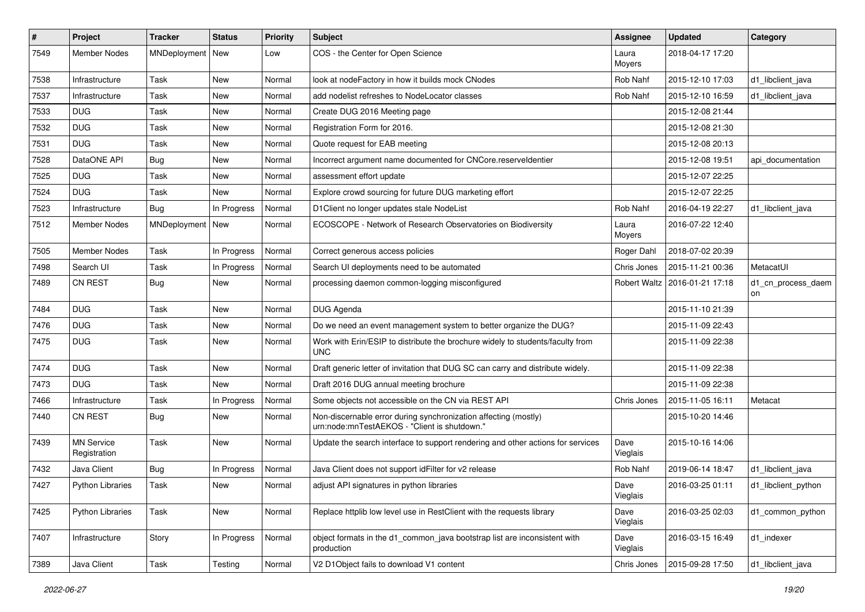| #    | Project                           | <b>Tracker</b>     | <b>Status</b> | <b>Priority</b> | Subject                                                                                                         | <b>Assignee</b>  | <b>Updated</b>                  | Category                 |
|------|-----------------------------------|--------------------|---------------|-----------------|-----------------------------------------------------------------------------------------------------------------|------------------|---------------------------------|--------------------------|
| 7549 | <b>Member Nodes</b>               | MNDeployment   New |               | Low             | COS - the Center for Open Science                                                                               | Laura<br>Moyers  | 2018-04-17 17:20                |                          |
| 7538 | Infrastructure                    | Task               | New           | Normal          | look at nodeFactory in how it builds mock CNodes                                                                | Rob Nahf         | 2015-12-10 17:03                | d1 libclient java        |
| 7537 | Infrastructure                    | Task               | New           | Normal          | add nodelist refreshes to NodeLocator classes                                                                   | Rob Nahf         | 2015-12-10 16:59                | d1_libclient_java        |
| 7533 | <b>DUG</b>                        | Task               | New           | Normal          | Create DUG 2016 Meeting page                                                                                    |                  | 2015-12-08 21:44                |                          |
| 7532 | <b>DUG</b>                        | Task               | <b>New</b>    | Normal          | Registration Form for 2016.                                                                                     |                  | 2015-12-08 21:30                |                          |
| 7531 | <b>DUG</b>                        | Task               | <b>New</b>    | Normal          | Quote request for EAB meeting                                                                                   |                  | 2015-12-08 20:13                |                          |
| 7528 | DataONE API                       | <b>Bug</b>         | New           | Normal          | Incorrect argument name documented for CNCore.reserveldentier                                                   |                  | 2015-12-08 19:51                | api documentation        |
| 7525 | <b>DUG</b>                        | Task               | New           | Normal          | assessment effort update                                                                                        |                  | 2015-12-07 22:25                |                          |
| 7524 | <b>DUG</b>                        | Task               | New           | Normal          | Explore crowd sourcing for future DUG marketing effort                                                          |                  | 2015-12-07 22:25                |                          |
| 7523 | Infrastructure                    | Bug                | In Progress   | Normal          | D1 Client no longer updates stale NodeList                                                                      | Rob Nahf         | 2016-04-19 22:27                | d1_libclient_java        |
| 7512 | Member Nodes                      | MNDeployment   New |               | Normal          | ECOSCOPE - Network of Research Observatories on Biodiversity                                                    | Laura<br>Moyers  | 2016-07-22 12:40                |                          |
| 7505 | <b>Member Nodes</b>               | Task               | In Progress   | Normal          | Correct generous access policies                                                                                | Roger Dahl       | 2018-07-02 20:39                |                          |
| 7498 | Search UI                         | Task               | In Progress   | Normal          | Search UI deployments need to be automated                                                                      | Chris Jones      | 2015-11-21 00:36                | MetacatUI                |
| 7489 | <b>CN REST</b>                    | Bug                | New           | Normal          | processing daemon common-logging misconfigured                                                                  |                  | Robert Waltz   2016-01-21 17:18 | d1_cn_process_daem<br>on |
| 7484 | <b>DUG</b>                        | Task               | <b>New</b>    | Normal          | DUG Agenda                                                                                                      |                  | 2015-11-10 21:39                |                          |
| 7476 | <b>DUG</b>                        | Task               | New           | Normal          | Do we need an event management system to better organize the DUG?                                               |                  | 2015-11-09 22:43                |                          |
| 7475 | <b>DUG</b>                        | Task               | New           | Normal          | Work with Erin/ESIP to distribute the brochure widely to students/faculty from<br><b>UNC</b>                    |                  | 2015-11-09 22:38                |                          |
| 7474 | <b>DUG</b>                        | Task               | New           | Normal          | Draft generic letter of invitation that DUG SC can carry and distribute widely.                                 |                  | 2015-11-09 22:38                |                          |
| 7473 | <b>DUG</b>                        | Task               | New           | Normal          | Draft 2016 DUG annual meeting brochure                                                                          |                  | 2015-11-09 22:38                |                          |
| 7466 | Infrastructure                    | Task               | In Progress   | Normal          | Some objects not accessible on the CN via REST API                                                              | Chris Jones      | 2015-11-05 16:11                | Metacat                  |
| 7440 | <b>CN REST</b>                    | Bug                | New           | Normal          | Non-discernable error during synchronization affecting (mostly)<br>urn:node:mnTestAEKOS - "Client is shutdown." |                  | 2015-10-20 14:46                |                          |
| 7439 | <b>MN Service</b><br>Registration | Task               | New           | Normal          | Update the search interface to support rendering and other actions for services                                 | Dave<br>Vieglais | 2015-10-16 14:06                |                          |
| 7432 | Java Client                       | <b>Bug</b>         | In Progress   | Normal          | Java Client does not support idFilter for v2 release                                                            | Rob Nahf         | 2019-06-14 18:47                | d1 libclient java        |
| 7427 | <b>Python Libraries</b>           | Task               | New           | Normal          | adjust API signatures in python libraries                                                                       | Dave<br>Vieglais | 2016-03-25 01:11                | d1_libclient_python      |
| 7425 | <b>Python Libraries</b>           | Task               | New           | Normal          | Replace httplib low level use in RestClient with the requests library                                           | Dave<br>Vieglais | 2016-03-25 02:03                | d1_common_python         |
| 7407 | Infrastructure                    | Story              | In Progress   | Normal          | object formats in the d1_common_java bootstrap list are inconsistent with<br>production                         | Dave<br>Vieglais | 2016-03-15 16:49                | d1_indexer               |
| 7389 | Java Client                       | Task               | Testing       | Normal          | V2 D1Object fails to download V1 content                                                                        | Chris Jones      | 2015-09-28 17:50                | d1 libclient java        |